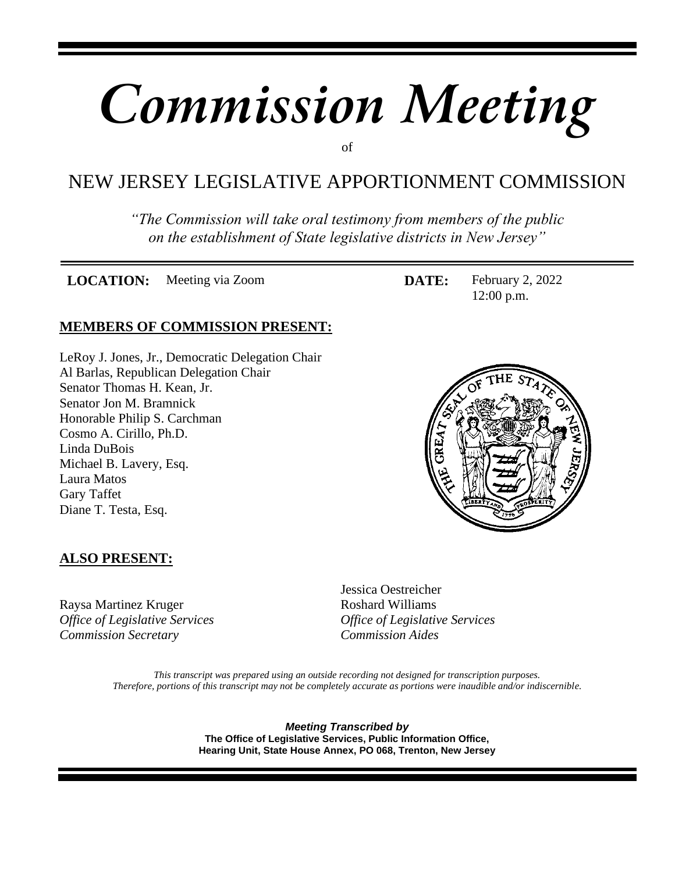# *Commission Meeting*

of

## NEW JERSEY LEGISLATIVE APPORTIONMENT COMMISSION

*"The Commission will take oral testimony from members of the public on the establishment of State legislative districts in New Jersey"*

**LOCATION:** Meeting via Zoom **DATE:** February 2, 2022

## **MEMBERS OF COMMISSION PRESENT:**

LeRoy J. Jones, Jr., Democratic Delegation Chair Al Barlas, Republican Delegation Chair Senator Thomas H. Kean, Jr. Senator Jon M. Bramnick Honorable Philip S. Carchman Cosmo A. Cirillo, Ph.D. Linda DuBois Michael B. Lavery, Esq. Laura Matos Gary Taffet Diane T. Testa, Esq.



12:00 p.m.

## **ALSO PRESENT:**

Raysa Martinez Kruger Roshard Williams *Office of Legislative Services Office of Legislative Services Commission Secretary Commission Aides*

Jessica Oestreicher

*This transcript was prepared using an outside recording not designed for transcription purposes. Therefore, portions of this transcript may not be completely accurate as portions were inaudible and/or indiscernible.*

> *Meeting Transcribed by* **The Office of Legislative Services, Public Information Office, Hearing Unit, State House Annex, PO 068, Trenton, New Jersey**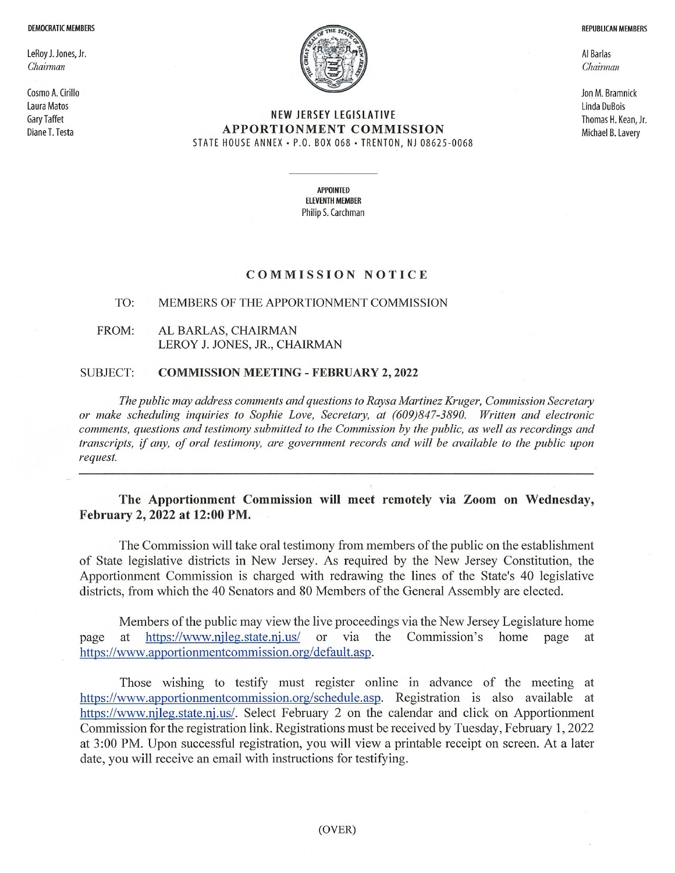#### **DEMOCRATIC MEMBERS**

LeRoy J. Jones, Jr. Chairman

Cosmo A. Cirillo Laura Matos **Gary Taffet** Diane T. Testa



#### NEW JERSEY LEGISLATIVE **APPORTIONMENT COMMISSION** STATE HOUSE ANNEX • P.O. BOX 068 • TRENTON, NJ 08625-0068

Al Barlas Chairman

Jon M. Bramnick Linda DuBois Thomas H. Kean, Jr. Michael B. Lavery

**REPUBLICAN MEMBERS** 

**APPOINTED ELEVENTH MEMBER** Philip S. Carchman

#### **COMMISSION NOTICE**

#### TO: MEMBERS OF THE APPORTIONMENT COMMISSION

FROM: AL BARLAS, CHAIRMAN LEROY J. JONES, JR., CHAIRMAN

#### **SUBJECT: COMMISSION MEETING - FEBRUARY 2, 2022**

The public may address comments and questions to Raysa Martinez Kruger, Commission Secretary or make scheduling inquiries to Sophie Love, Secretary, at (609)847-3890. Written and electronic comments, questions and testimony submitted to the Commission by the public, as well as recordings and transcripts, if any, of oral testimony, are government records and will be available to the public upon request.

## The Apportionment Commission will meet remotely via Zoom on Wednesday, February 2, 2022 at 12:00 PM.

The Commission will take oral testimony from members of the public on the establishment of State legislative districts in New Jersey. As required by the New Jersey Constitution, the Apportionment Commission is charged with redrawing the lines of the State's 40 legislative districts, from which the 40 Senators and 80 Members of the General Assembly are elected.

Members of the public may view the live proceedings via the New Jersey Legislature home https://www.njleg.state.nj.us/ or via the Commission's home page page at at https://www.apportionmentcommission.org/default.asp.

Those wishing to testify must register online in advance of the meeting at https://www.apportionmentcommission.org/schedule.asp. Registration is also available at https://www.njleg.state.nj.us/. Select February 2 on the calendar and click on Apportionment Commission for the registration link. Registrations must be received by Tuesday, February 1, 2022 at 3:00 PM. Upon successful registration, you will view a printable receipt on screen. At a later date, you will receive an email with instructions for testifying.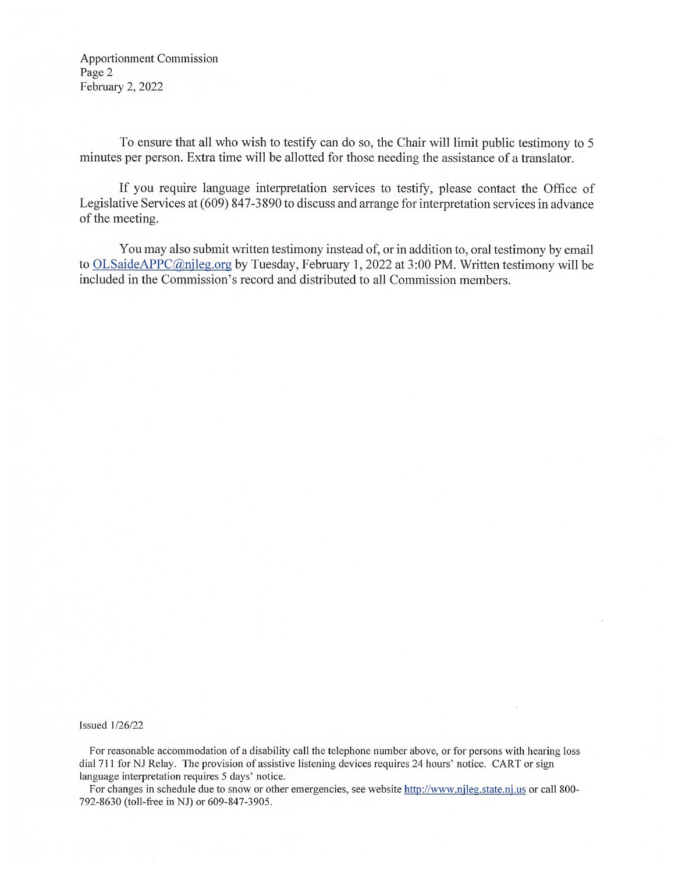**Apportionment Commission** Page 2 February 2, 2022

To ensure that all who wish to testify can do so, the Chair will limit public testimony to 5 minutes per person. Extra time will be allotted for those needing the assistance of a translator.

If you require language interpretation services to testify, please contact the Office of Legislative Services at (609) 847-3890 to discuss and arrange for interpretation services in advance of the meeting.

You may also submit written testimony instead of, or in addition to, oral testimony by email to OLSaideAPPC@njleg.org by Tuesday, February 1, 2022 at 3:00 PM. Written testimony will be included in the Commission's record and distributed to all Commission members.

#### **Issued 1/26/22**

For reasonable accommodation of a disability call the telephone number above, or for persons with hearing loss dial 711 for NJ Relay. The provision of assistive listening devices requires 24 hours' notice. CART or sign language interpretation requires 5 days' notice.

For changes in schedule due to snow or other emergencies, see website http://www.njleg.state.nj.us or call 800-792-8630 (toll-free in NJ) or 609-847-3905.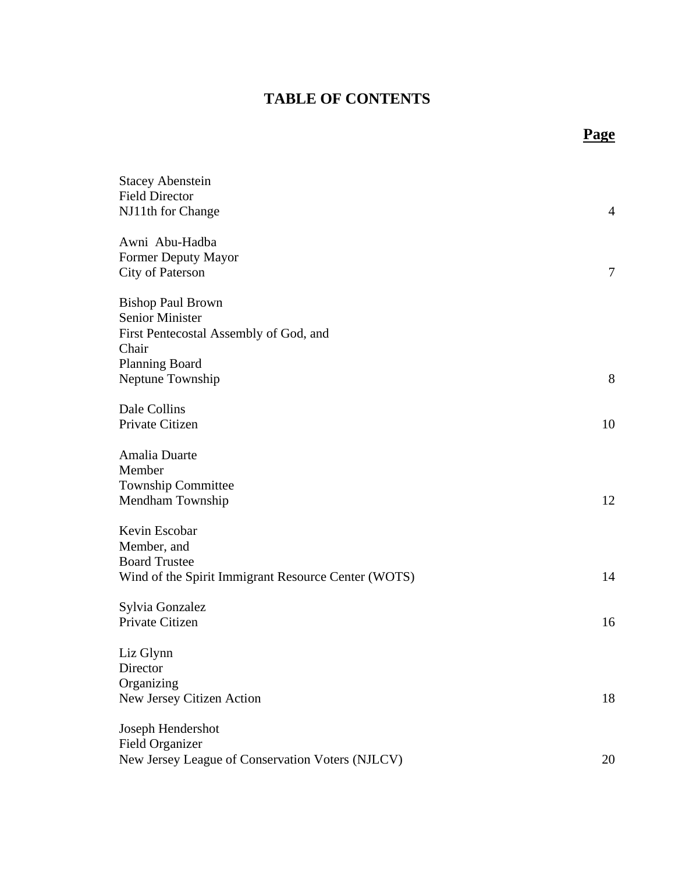## **TABLE OF CONTENTS**

**Page**

| <b>Stacey Abenstein</b><br><b>Field Director</b><br>NJ11th for Change                                       | $\overline{4}$ |
|-------------------------------------------------------------------------------------------------------------|----------------|
| Awni Abu-Hadba<br>Former Deputy Mayor<br>City of Paterson                                                   | 7              |
| <b>Bishop Paul Brown</b><br><b>Senior Minister</b><br>First Pentecostal Assembly of God, and<br>Chair       |                |
| <b>Planning Board</b><br>Neptune Township                                                                   | 8              |
| Dale Collins<br>Private Citizen                                                                             | 10             |
| Amalia Duarte<br>Member<br><b>Township Committee</b><br>Mendham Township                                    | 12             |
| Kevin Escobar<br>Member, and<br><b>Board Trustee</b><br>Wind of the Spirit Immigrant Resource Center (WOTS) | 14             |
| Sylvia Gonzalez<br>Private Citizen                                                                          | 16             |
| Liz Glynn<br>Director<br>Organizing<br>New Jersey Citizen Action                                            | 18             |
| Joseph Hendershot<br><b>Field Organizer</b><br>New Jersey League of Conservation Voters (NJLCV)             | 20             |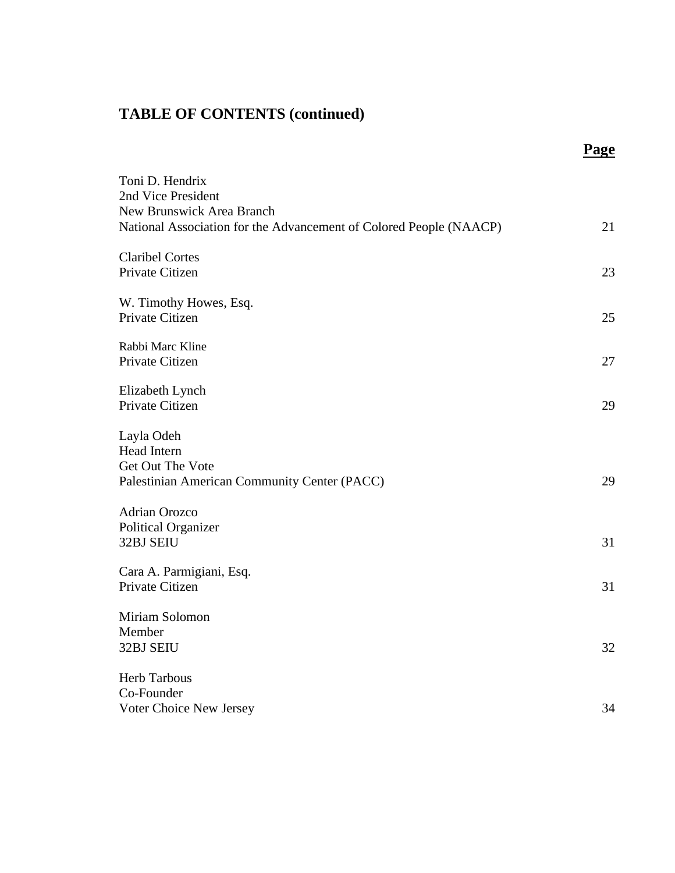|                                                                    | Page |
|--------------------------------------------------------------------|------|
| Toni D. Hendrix                                                    |      |
| 2nd Vice President                                                 |      |
| New Brunswick Area Branch                                          |      |
| National Association for the Advancement of Colored People (NAACP) | 21   |
| <b>Claribel Cortes</b>                                             |      |
| Private Citizen                                                    | 23   |
| W. Timothy Howes, Esq.                                             |      |
| Private Citizen                                                    | 25   |
| Rabbi Marc Kline                                                   |      |
| Private Citizen                                                    | 27   |
| Elizabeth Lynch                                                    |      |
| Private Citizen                                                    | 29   |
| Layla Odeh                                                         |      |
| <b>Head Intern</b>                                                 |      |
| Get Out The Vote                                                   |      |
| Palestinian American Community Center (PACC)                       | 29   |
| <b>Adrian Orozco</b>                                               |      |
| <b>Political Organizer</b>                                         |      |
| 32BJ SEIU                                                          | 31   |
| Cara A. Parmigiani, Esq.                                           |      |
| Private Citizen                                                    | 31   |
| Miriam Solomon                                                     |      |
| Member                                                             |      |
| 32BJ SEIU                                                          | 32   |
| <b>Herb Tarbous</b>                                                |      |
| Co-Founder                                                         |      |
| Voter Choice New Jersey                                            | 34   |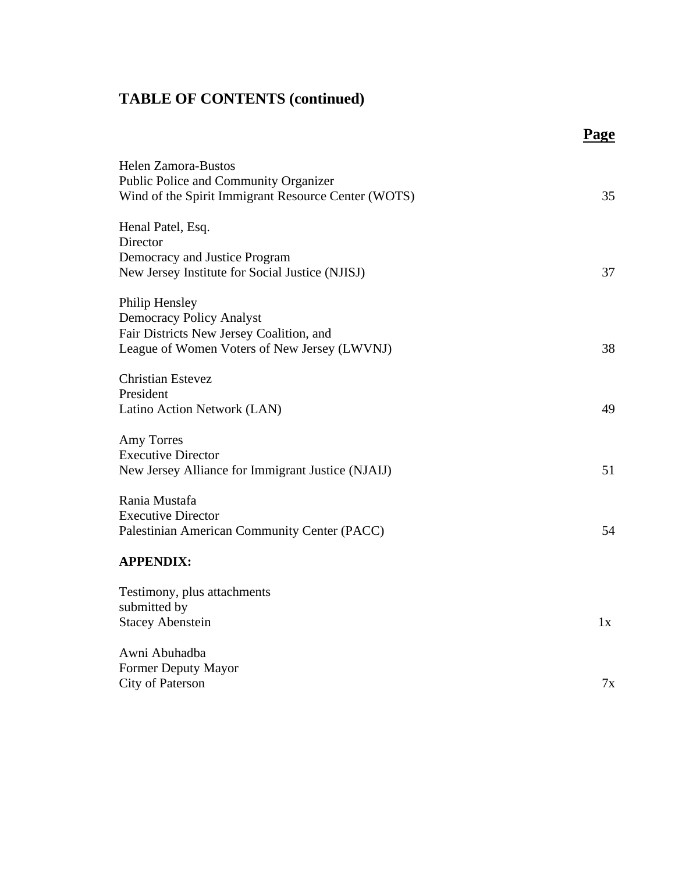|                                                                                                                      | <b>Page</b> |
|----------------------------------------------------------------------------------------------------------------------|-------------|
| Helen Zamora-Bustos<br>Public Police and Community Organizer<br>Wind of the Spirit Immigrant Resource Center (WOTS)  | 35          |
| Henal Patel, Esq.<br>Director<br>Democracy and Justice Program<br>New Jersey Institute for Social Justice (NJISJ)    | 37          |
| Philip Hensley<br><b>Democracy Policy Analyst</b><br>Fair Districts New Jersey Coalition, and                        |             |
| League of Women Voters of New Jersey (LWVNJ)<br><b>Christian Estevez</b><br>President<br>Latino Action Network (LAN) | 38<br>49    |
| <b>Amy Torres</b><br><b>Executive Director</b><br>New Jersey Alliance for Immigrant Justice (NJAIJ)                  | 51          |
| Rania Mustafa<br><b>Executive Director</b><br>Palestinian American Community Center (PACC)                           | 54          |
| <b>APPENDIX:</b>                                                                                                     |             |
| Testimony, plus attachments<br>submitted by<br><b>Stacey Abenstein</b>                                               | 1x          |
| Awni Abuhadba<br><b>Former Deputy Mayor</b><br>City of Paterson                                                      | 7x          |
|                                                                                                                      |             |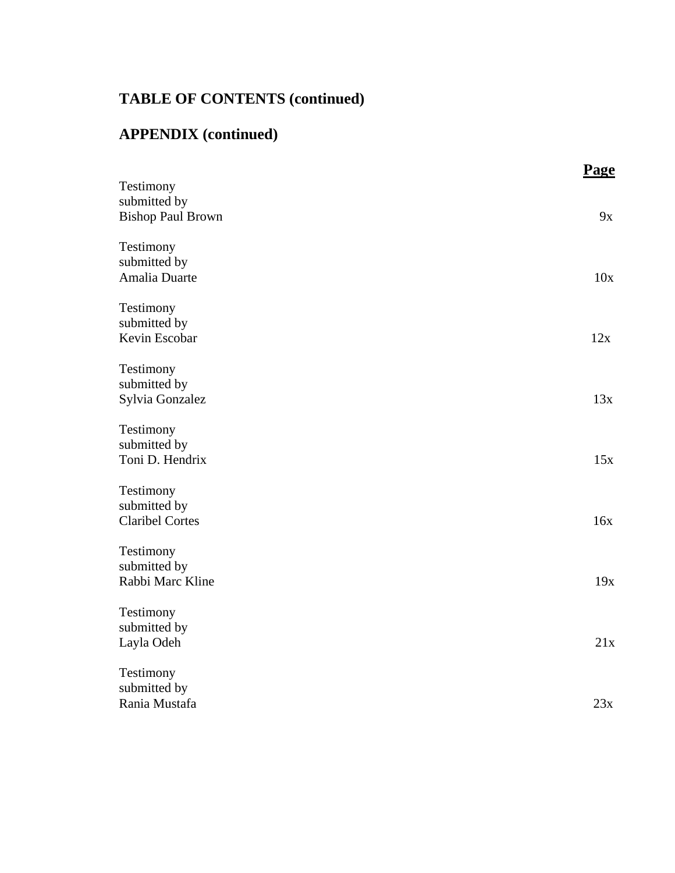# **APPENDIX (continued)**

|                           | Page |
|---------------------------|------|
| Testimony<br>submitted by |      |
| <b>Bishop Paul Brown</b>  | 9x   |
|                           |      |
| Testimony                 |      |
| submitted by              |      |
| Amalia Duarte             | 10x  |
|                           |      |
| Testimony                 |      |
| submitted by              |      |
| Kevin Escobar             | 12x  |
| Testimony                 |      |
| submitted by              |      |
| Sylvia Gonzalez           | 13x  |
|                           |      |
| Testimony                 |      |
| submitted by              |      |
| Toni D. Hendrix           | 15x  |
|                           |      |
| Testimony<br>submitted by |      |
| <b>Claribel Cortes</b>    | 16x  |
|                           |      |
| Testimony                 |      |
| submitted by              |      |
| Rabbi Marc Kline          | 19x  |
|                           |      |
| Testimony<br>submitted by |      |
| Layla Odeh                | 21x  |
|                           |      |
| Testimony                 |      |
| submitted by              |      |
| Rania Mustafa             | 23x  |
|                           |      |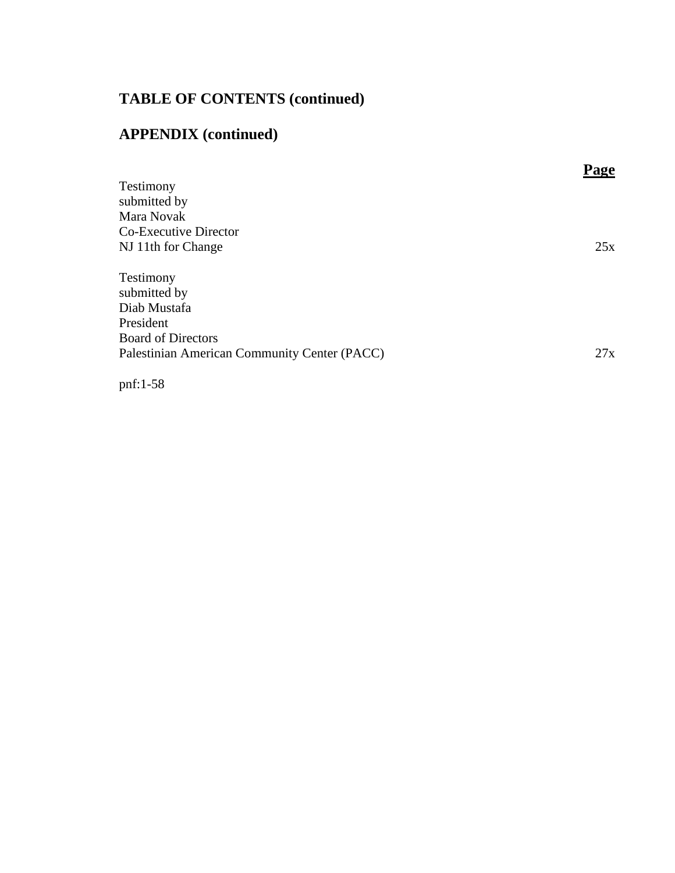## **APPENDIX (continued)**

|                                              | <b>loe</b> |
|----------------------------------------------|------------|
| Testimony                                    |            |
| submitted by                                 |            |
| Mara Novak                                   |            |
| Co-Executive Director                        |            |
| NJ 11th for Change                           | 25x        |
|                                              |            |
| Testimony                                    |            |
| submitted by                                 |            |
| Diab Mustafa                                 |            |
| President                                    |            |
| <b>Board of Directors</b>                    |            |
| Palestinian American Community Center (PACC) | 27x        |
|                                              |            |

pnf:1-58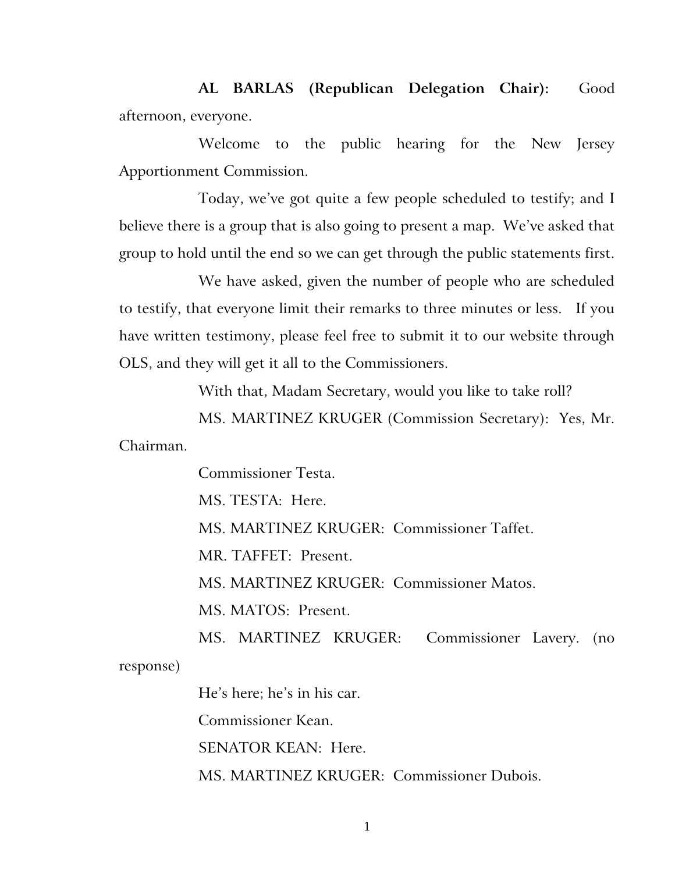**AL BARLAS (Republican Delegation Chair):** Good afternoon, everyone.

Welcome to the public hearing for the New Jersey Apportionment Commission.

Today, we've got quite a few people scheduled to testify; and I believe there is a group that is also going to present a map. We've asked that group to hold until the end so we can get through the public statements first.

We have asked, given the number of people who are scheduled to testify, that everyone limit their remarks to three minutes or less. If you have written testimony, please feel free to submit it to our website through OLS, and they will get it all to the Commissioners.

With that, Madam Secretary, would you like to take roll?

MS. MARTINEZ KRUGER (Commission Secretary): Yes, Mr. Chairman.

Commissioner Testa.

MS. TESTA: Here.

MS. MARTINEZ KRUGER: Commissioner Taffet.

MR. TAFFET: Present.

MS. MARTINEZ KRUGER: Commissioner Matos.

MS. MATOS: Present.

MS. MARTINEZ KRUGER: Commissioner Lavery. (no response)

He's here; he's in his car.

Commissioner Kean.

SENATOR KEAN: Here.

MS. MARTINEZ KRUGER: Commissioner Dubois.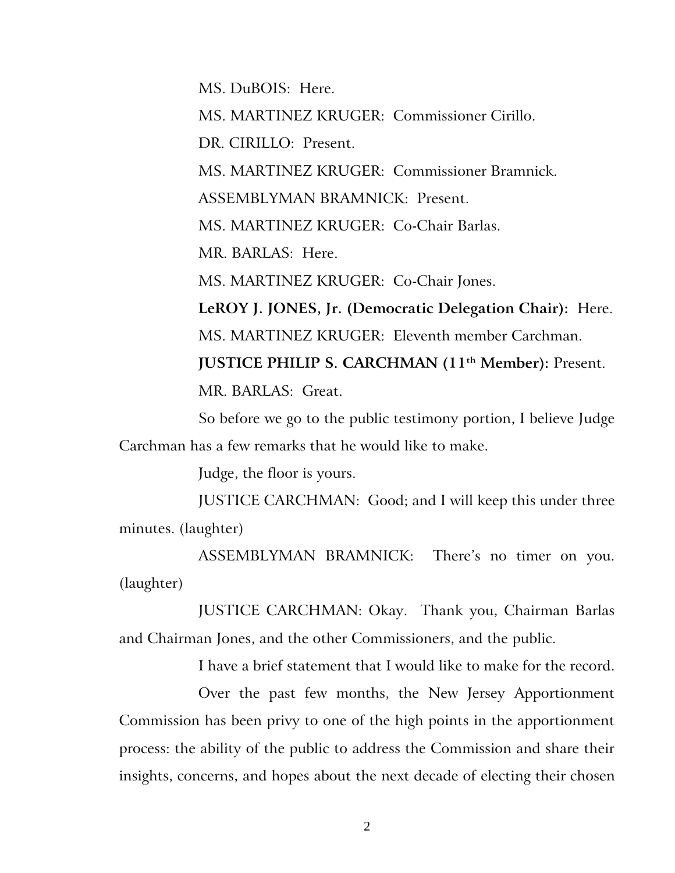MS. DuBOIS: Here.

MS. MARTINEZ KRUGER: Commissioner Cirillo.

DR. CIRILLO: Present.

MS. MARTINEZ KRUGER: Commissioner Bramnick.

ASSEMBLYMAN BRAMNICK: Present.

MS. MARTINEZ KRUGER: Co-Chair Barlas.

MR. BARLAS: Here.

MS. MARTINEZ KRUGER: Co-Chair Jones.

**LeROY J. JONES, Jr. (Democratic Delegation Chair):** Here. MS. MARTINEZ KRUGER: Eleventh member Carchman. **JUSTICE PHILIP S. CARCHMAN (11th Member):** Present.

MR. BARLAS: Great.

So before we go to the public testimony portion, I believe Judge Carchman has a few remarks that he would like to make.

Judge, the floor is yours.

JUSTICE CARCHMAN: Good; and I will keep this under three minutes. (laughter)

ASSEMBLYMAN BRAMNICK: There's no timer on you. (laughter)

JUSTICE CARCHMAN: Okay. Thank you, Chairman Barlas and Chairman Jones, and the other Commissioners, and the public.

I have a brief statement that I would like to make for the record.

Over the past few months, the New Jersey Apportionment Commission has been privy to one of the high points in the apportionment process: the ability of the public to address the Commission and share their insights, concerns, and hopes about the next decade of electing their chosen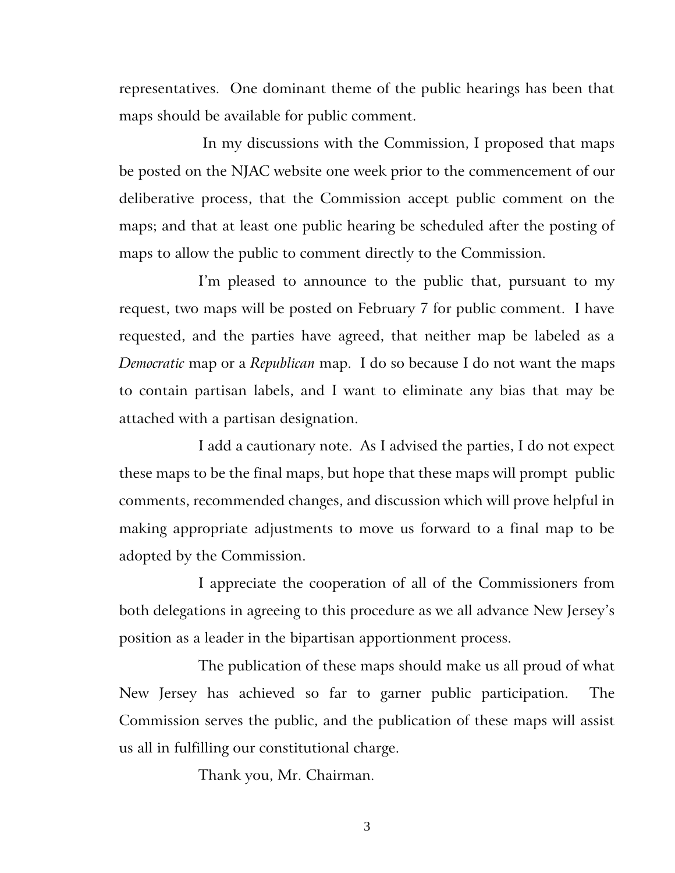representatives. One dominant theme of the public hearings has been that maps should be available for public comment.

In my discussions with the Commission, I proposed that maps be posted on the NJAC website one week prior to the commencement of our deliberative process, that the Commission accept public comment on the maps; and that at least one public hearing be scheduled after the posting of maps to allow the public to comment directly to the Commission.

I'm pleased to announce to the public that, pursuant to my request, two maps will be posted on February 7 for public comment. I have requested, and the parties have agreed, that neither map be labeled as a *Democratic* map or a *Republican* map. I do so because I do not want the maps to contain partisan labels, and I want to eliminate any bias that may be attached with a partisan designation.

I add a cautionary note. As I advised the parties, I do not expect these maps to be the final maps, but hope that these maps will prompt public comments, recommended changes, and discussion which will prove helpful in making appropriate adjustments to move us forward to a final map to be adopted by the Commission.

I appreciate the cooperation of all of the Commissioners from both delegations in agreeing to this procedure as we all advance New Jersey's position as a leader in the bipartisan apportionment process.

The publication of these maps should make us all proud of what New Jersey has achieved so far to garner public participation. The Commission serves the public, and the publication of these maps will assist us all in fulfilling our constitutional charge.

Thank you, Mr. Chairman.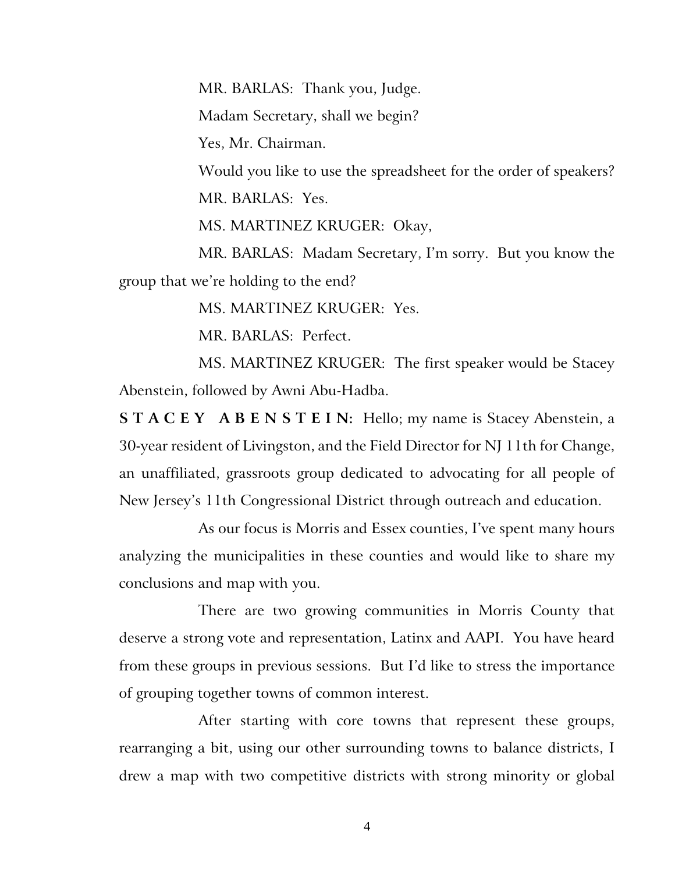MR. BARLAS: Thank you, Judge.

Madam Secretary, shall we begin?

Yes, Mr. Chairman.

Would you like to use the spreadsheet for the order of speakers? MR. BARLAS: Yes.

MS. MARTINEZ KRUGER: Okay,

MR. BARLAS: Madam Secretary, I'm sorry. But you know the group that we're holding to the end?

MS. MARTINEZ KRUGER: Yes.

MR. BARLAS: Perfect.

MS. MARTINEZ KRUGER: The first speaker would be Stacey Abenstein, followed by Awni Abu-Hadba.

**S T A C E Y A B E N S T E I N:** Hello; my name is Stacey Abenstein, a 30-year resident of Livingston, and the Field Director for NJ 11th for Change, an unaffiliated, grassroots group dedicated to advocating for all people of New Jersey's 11th Congressional District through outreach and education.

As our focus is Morris and Essex counties, I've spent many hours analyzing the municipalities in these counties and would like to share my conclusions and map with you.

There are two growing communities in Morris County that deserve a strong vote and representation, Latinx and AAPI. You have heard from these groups in previous sessions. But I'd like to stress the importance of grouping together towns of common interest.

After starting with core towns that represent these groups, rearranging a bit, using our other surrounding towns to balance districts, I drew a map with two competitive districts with strong minority or global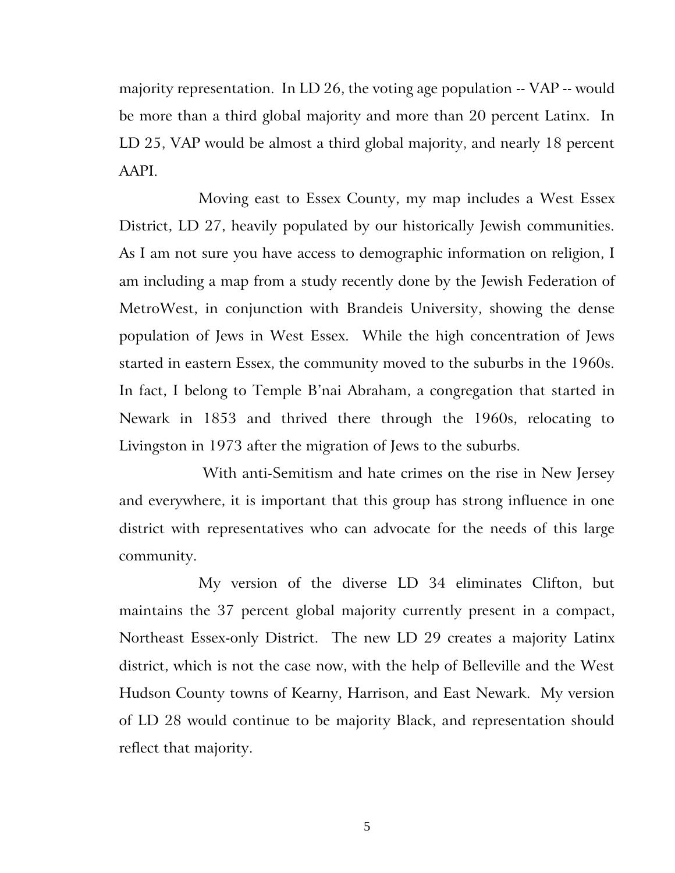majority representation. In LD 26, the voting age population -- VAP -- would be more than a third global majority and more than 20 percent Latinx. In LD 25, VAP would be almost a third global majority, and nearly 18 percent AAPI.

Moving east to Essex County, my map includes a West Essex District, LD 27, heavily populated by our historically Jewish communities. As I am not sure you have access to demographic information on religion, I am including a map from a study recently done by the Jewish Federation of MetroWest, in conjunction with Brandeis University, showing the dense population of Jews in West Essex. While the high concentration of Jews started in eastern Essex, the community moved to the suburbs in the 1960s. In fact, I belong to Temple B'nai Abraham, a congregation that started in Newark in 1853 and thrived there through the 1960s, relocating to Livingston in 1973 after the migration of Jews to the suburbs.

With anti-Semitism and hate crimes on the rise in New Jersey and everywhere, it is important that this group has strong influence in one district with representatives who can advocate for the needs of this large community.

My version of the diverse LD 34 eliminates Clifton, but maintains the 37 percent global majority currently present in a compact, Northeast Essex-only District. The new LD 29 creates a majority Latinx district, which is not the case now, with the help of Belleville and the West Hudson County towns of Kearny, Harrison, and East Newark. My version of LD 28 would continue to be majority Black, and representation should reflect that majority.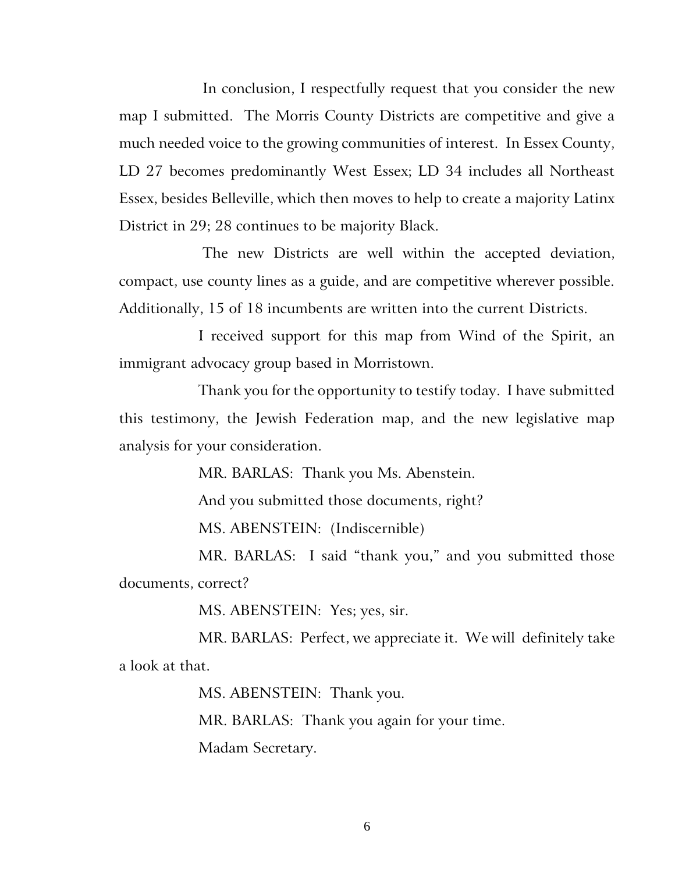In conclusion, I respectfully request that you consider the new map I submitted. The Morris County Districts are competitive and give a much needed voice to the growing communities of interest. In Essex County, LD 27 becomes predominantly West Essex; LD 34 includes all Northeast Essex, besides Belleville, which then moves to help to create a majority Latinx District in 29; 28 continues to be majority Black.

The new Districts are well within the accepted deviation, compact, use county lines as a guide, and are competitive wherever possible. Additionally, 15 of 18 incumbents are written into the current Districts.

I received support for this map from Wind of the Spirit, an immigrant advocacy group based in Morristown.

Thank you for the opportunity to testify today. I have submitted this testimony, the Jewish Federation map, and the new legislative map analysis for your consideration.

MR. BARLAS: Thank you Ms. Abenstein.

And you submitted those documents, right?

MS. ABENSTEIN: (Indiscernible)

MR. BARLAS: I said "thank you," and you submitted those documents, correct?

MS. ABENSTEIN: Yes; yes, sir.

MR. BARLAS: Perfect, we appreciate it. We will definitely take a look at that.

MS. ABENSTEIN: Thank you.

MR. BARLAS: Thank you again for your time.

Madam Secretary.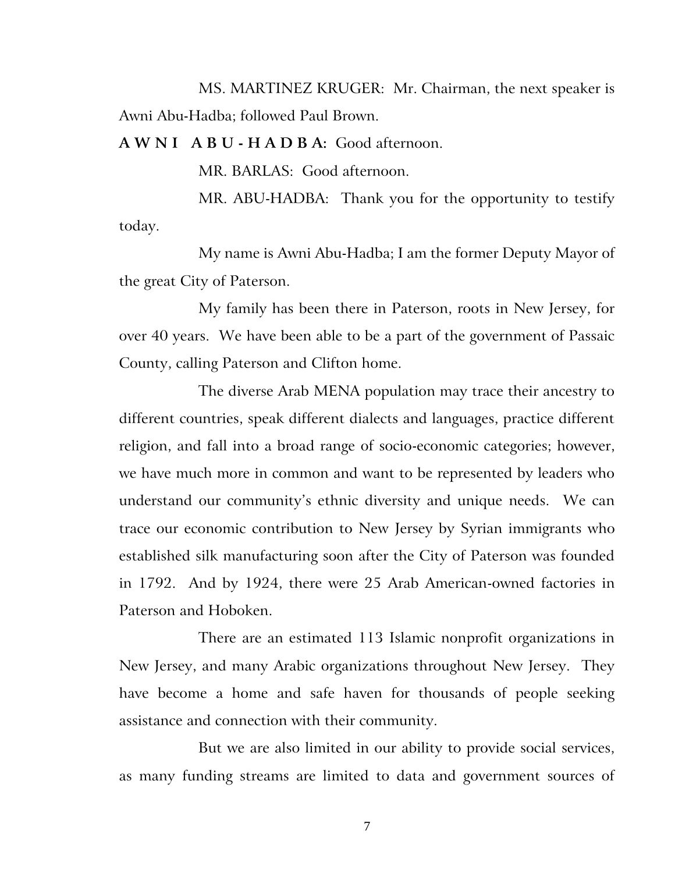MS. MARTINEZ KRUGER: Mr. Chairman, the next speaker is Awni Abu-Hadba; followed Paul Brown.

**A W N I A B U - H A D B A:** Good afternoon.

MR. BARLAS: Good afternoon.

MR. ABU-HADBA: Thank you for the opportunity to testify today.

My name is Awni Abu-Hadba; I am the former Deputy Mayor of the great City of Paterson.

My family has been there in Paterson, roots in New Jersey, for over 40 years. We have been able to be a part of the government of Passaic County, calling Paterson and Clifton home.

The diverse Arab MENA population may trace their ancestry to different countries, speak different dialects and languages, practice different religion, and fall into a broad range of socio-economic categories; however, we have much more in common and want to be represented by leaders who understand our community's ethnic diversity and unique needs. We can trace our economic contribution to New Jersey by Syrian immigrants who established silk manufacturing soon after the City of Paterson was founded in 1792. And by 1924, there were 25 Arab American-owned factories in Paterson and Hoboken.

There are an estimated 113 Islamic nonprofit organizations in New Jersey, and many Arabic organizations throughout New Jersey. They have become a home and safe haven for thousands of people seeking assistance and connection with their community.

But we are also limited in our ability to provide social services, as many funding streams are limited to data and government sources of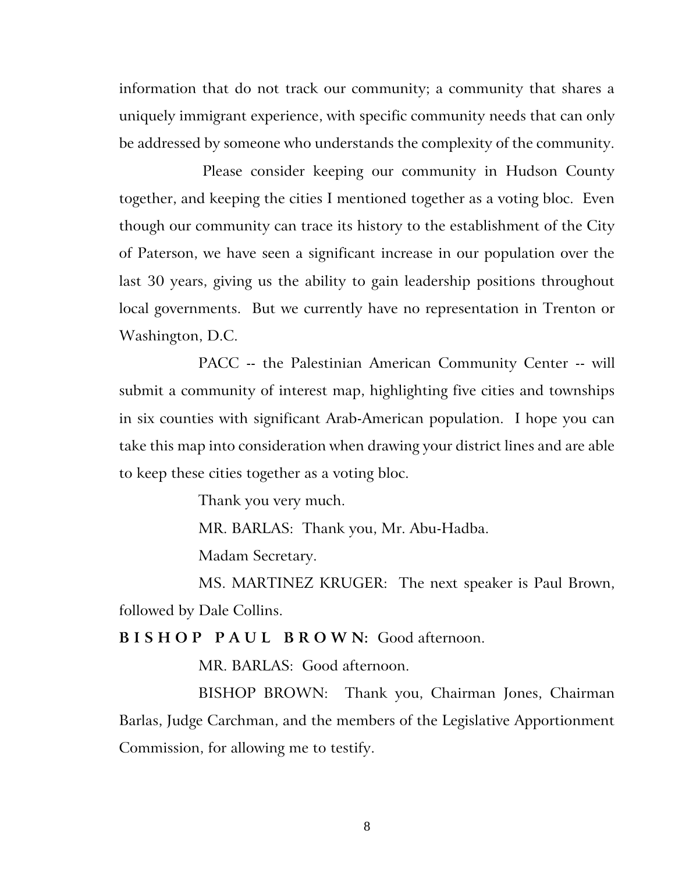information that do not track our community; a community that shares a uniquely immigrant experience, with specific community needs that can only be addressed by someone who understands the complexity of the community.

Please consider keeping our community in Hudson County together, and keeping the cities I mentioned together as a voting bloc. Even though our community can trace its history to the establishment of the City of Paterson, we have seen a significant increase in our population over the last 30 years, giving us the ability to gain leadership positions throughout local governments. But we currently have no representation in Trenton or Washington, D.C.

PACC -- the Palestinian American Community Center -- will submit a community of interest map, highlighting five cities and townships in six counties with significant Arab-American population. I hope you can take this map into consideration when drawing your district lines and are able to keep these cities together as a voting bloc.

Thank you very much.

MR. BARLAS: Thank you, Mr. Abu-Hadba.

Madam Secretary.

MS. MARTINEZ KRUGER: The next speaker is Paul Brown, followed by Dale Collins.

## **B I S H O P P A U L B R O W N:** Good afternoon.

MR. BARLAS: Good afternoon.

BISHOP BROWN:Thank you, Chairman Jones, Chairman Barlas, Judge Carchman, and the members of the Legislative Apportionment Commission, for allowing me to testify.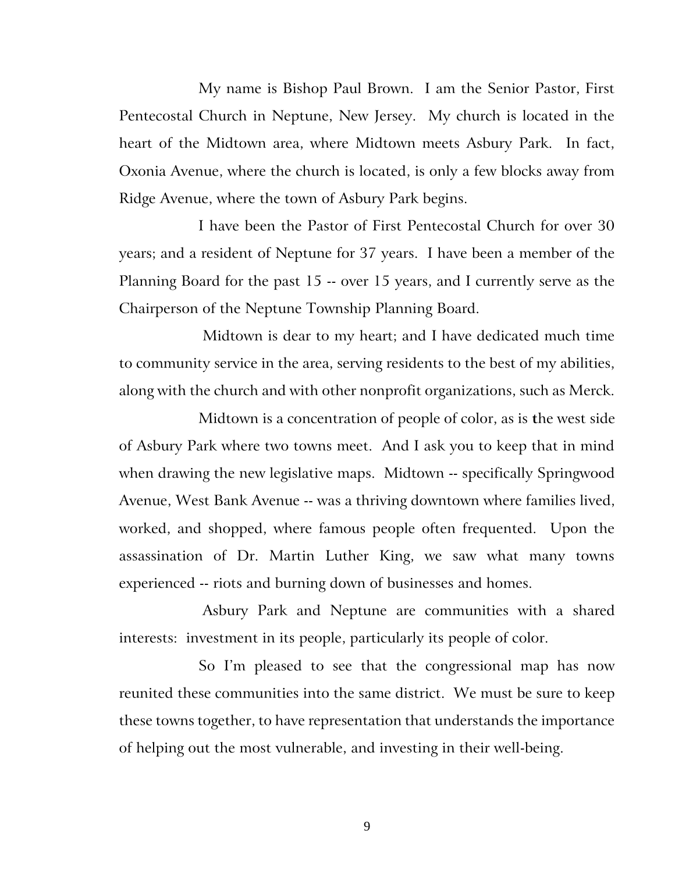My name is Bishop Paul Brown. I am the Senior Pastor, First Pentecostal Church in Neptune, New Jersey. My church is located in the heart of the Midtown area, where Midtown meets Asbury Park. In fact, Oxonia Avenue, where the church is located, is only a few blocks away from Ridge Avenue, where the town of Asbury Park begins.

I have been the Pastor of First Pentecostal Church for over 30 years; and a resident of Neptune for 37 years. I have been a member of the Planning Board for the past 15 -- over 15 years, and I currently serve as the Chairperson of the Neptune Township Planning Board.

Midtown is dear to my heart; and I have dedicated much time to community service in the area, serving residents to the best of my abilities, along with the church and with other nonprofit organizations, such as Merck.

Midtown is a concentration of people of color, as is **t**he west side of Asbury Park where two towns meet. And I ask you to keep that in mind when drawing the new legislative maps. Midtown -- specifically Springwood Avenue, West Bank Avenue -- was a thriving downtown where families lived, worked, and shopped, where famous people often frequented. Upon the assassination of Dr. Martin Luther King, we saw what many towns experienced -- riots and burning down of businesses and homes.

Asbury Park and Neptune are communities with a shared interests: investment in its people, particularly its people of color.

So I'm pleased to see that the congressional map has now reunited these communities into the same district. We must be sure to keep these towns together, to have representation that understands the importance of helping out the most vulnerable, and investing in their well-being.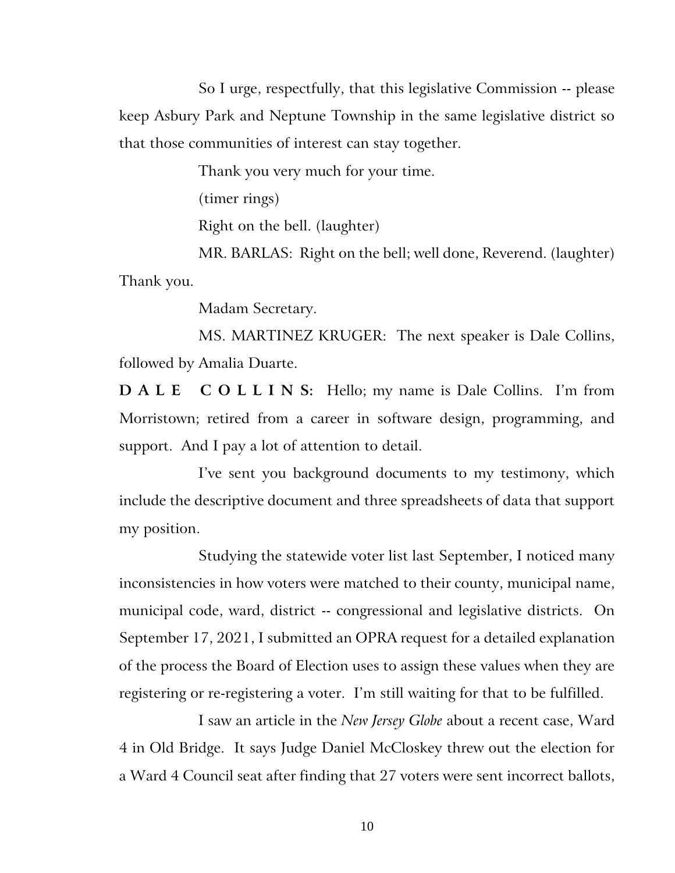So I urge, respectfully, that this legislative Commission -- please keep Asbury Park and Neptune Township in the same legislative district so that those communities of interest can stay together.

Thank you very much for your time.

(timer rings)

Right on the bell. (laughter)

MR. BARLAS: Right on the bell; well done, Reverend. (laughter) Thank you.

Madam Secretary.

MS. MARTINEZ KRUGER: The next speaker is Dale Collins, followed by Amalia Duarte.

**D A L E C O L L I N S:** Hello; my name is Dale Collins. I'm from Morristown; retired from a career in software design, programming, and support. And I pay a lot of attention to detail.

I've sent you background documents to my testimony, which include the descriptive document and three spreadsheets of data that support my position.

Studying the statewide voter list last September, I noticed many inconsistencies in how voters were matched to their county, municipal name, municipal code, ward, district -- congressional and legislative districts. On September 17, 2021, I submitted an OPRA request for a detailed explanation of the process the Board of Election uses to assign these values when they are registering or re-registering a voter. I'm still waiting for that to be fulfilled.

I saw an article in the *New Jersey Globe* about a recent case, Ward 4 in Old Bridge. It says Judge Daniel McCloskey threw out the election for a Ward 4 Council seat after finding that 27 voters were sent incorrect ballots,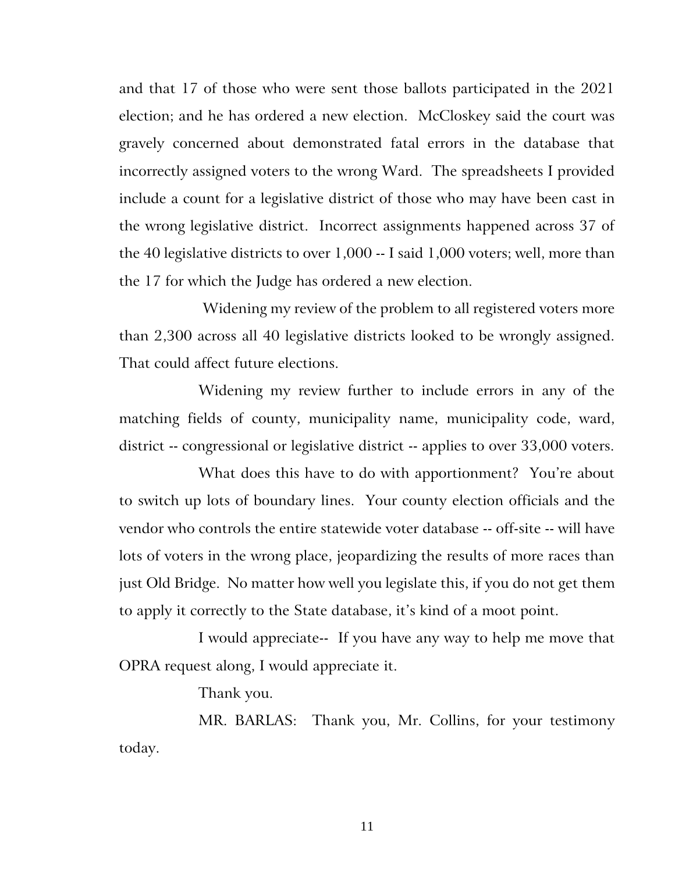and that 17 of those who were sent those ballots participated in the 2021 election; and he has ordered a new election. McCloskey said the court was gravely concerned about demonstrated fatal errors in the database that incorrectly assigned voters to the wrong Ward. The spreadsheets I provided include a count for a legislative district of those who may have been cast in the wrong legislative district. Incorrect assignments happened across 37 of the 40 legislative districts to over 1,000 -- I said 1,000 voters; well, more than the 17 for which the Judge has ordered a new election.

Widening my review of the problem to all registered voters more than 2,300 across all 40 legislative districts looked to be wrongly assigned. That could affect future elections.

Widening my review further to include errors in any of the matching fields of county, municipality name, municipality code, ward, district -- congressional or legislative district -- applies to over 33,000 voters.

What does this have to do with apportionment? You're about to switch up lots of boundary lines. Your county election officials and the vendor who controls the entire statewide voter database -- off-site -- will have lots of voters in the wrong place, jeopardizing the results of more races than just Old Bridge. No matter how well you legislate this, if you do not get them to apply it correctly to the State database, it's kind of a moot point.

I would appreciate-- If you have any way to help me move that OPRA request along, I would appreciate it.

Thank you.

MR. BARLAS: Thank you, Mr. Collins, for your testimony today.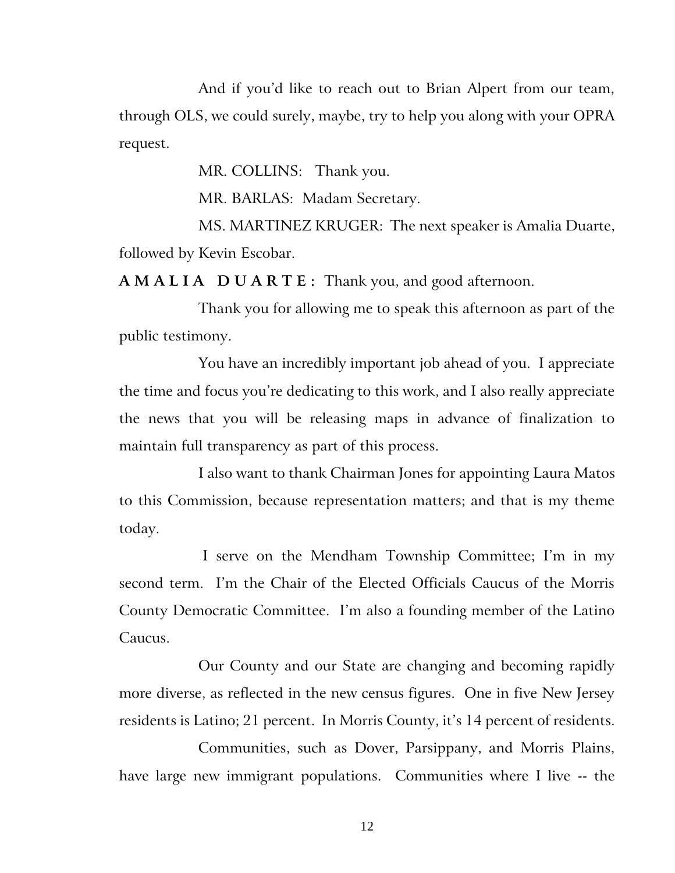And if you'd like to reach out to Brian Alpert from our team, through OLS, we could surely, maybe, try to help you along with your OPRA request.

MR. COLLINS: Thank you.

MR. BARLAS: Madam Secretary.

MS. MARTINEZ KRUGER: The next speaker is Amalia Duarte, followed by Kevin Escobar.

**A M A L I A D U A R T E :** Thank you, and good afternoon.

Thank you for allowing me to speak this afternoon as part of the public testimony.

You have an incredibly important job ahead of you. I appreciate the time and focus you're dedicating to this work, and I also really appreciate the news that you will be releasing maps in advance of finalization to maintain full transparency as part of this process.

I also want to thank Chairman Jones for appointing Laura Matos to this Commission, because representation matters; and that is my theme today.

I serve on the Mendham Township Committee; I'm in my second term. I'm the Chair of the Elected Officials Caucus of the Morris County Democratic Committee. I'm also a founding member of the Latino Caucus.

Our County and our State are changing and becoming rapidly more diverse, as reflected in the new census figures. One in five New Jersey residents is Latino; 21 percent. In Morris County, it's 14 percent of residents.

Communities, such as Dover, Parsippany, and Morris Plains, have large new immigrant populations. Communities where I live -- the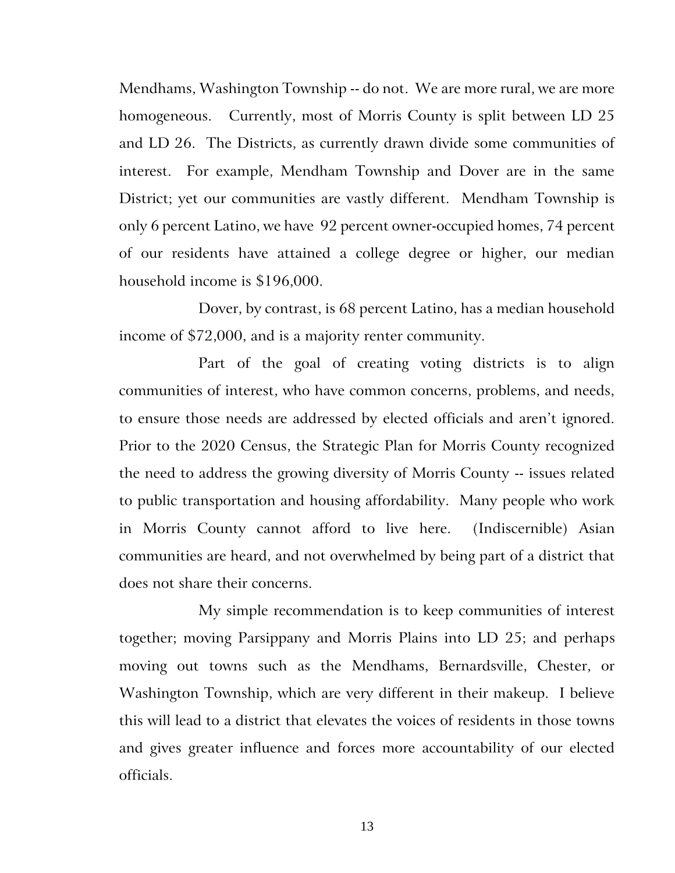Mendhams, Washington Township -- do not. We are more rural, we are more homogeneous. Currently, most of Morris County is split between LD 25 and LD 26. The Districts, as currently drawn divide some communities of interest. For example, Mendham Township and Dover are in the same District; yet our communities are vastly different. Mendham Township is only 6 percent Latino, we have 92 percent owner-occupied homes, 74 percent of our residents have attained a college degree or higher, our median household income is \$196,000.

Dover, by contrast, is 68 percent Latino, has a median household income of \$72,000, and is a majority renter community.

Part of the goal of creating voting districts is to align communities of interest, who have common concerns, problems, and needs, to ensure those needs are addressed by elected officials and aren't ignored. Prior to the 2020 Census, the Strategic Plan for Morris County recognized the need to address the growing diversity of Morris County -- issues related to public transportation and housing affordability. Many people who work in Morris County cannot afford to live here. (Indiscernible) Asian communities are heard, and not overwhelmed by being part of a district that does not share their concerns.

My simple recommendation is to keep communities of interest together; moving Parsippany and Morris Plains into LD 25; and perhaps moving out towns such as the Mendhams, Bernardsville, Chester, or Washington Township, which are very different in their makeup. I believe this will lead to a district that elevates the voices of residents in those towns and gives greater influence and forces more accountability of our elected officials.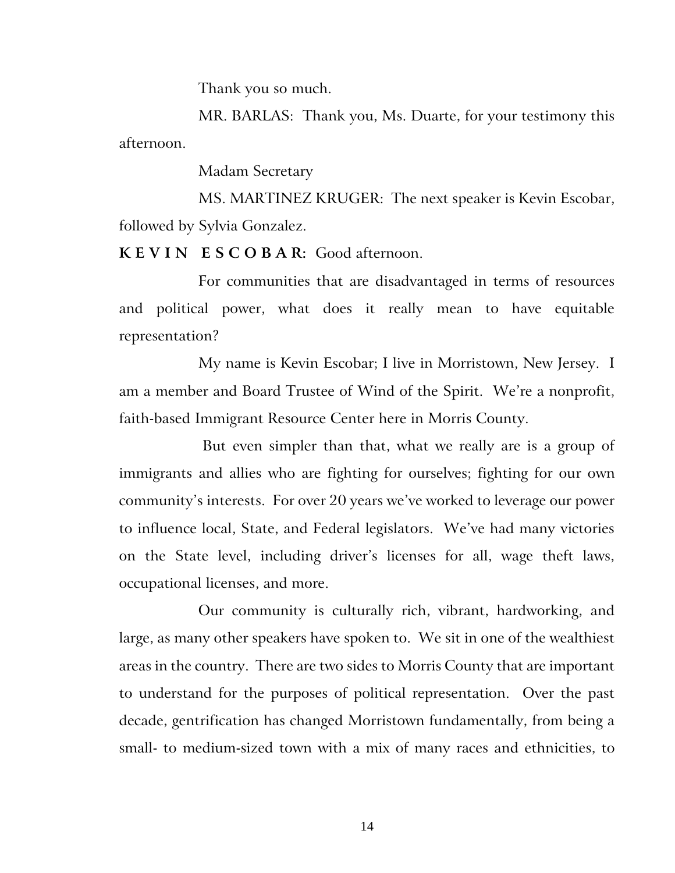Thank you so much.

MR. BARLAS: Thank you, Ms. Duarte, for your testimony this afternoon.

Madam Secretary

MS. MARTINEZ KRUGER: The next speaker is Kevin Escobar, followed by Sylvia Gonzalez.

**K E V I N E S C O B A R:** Good afternoon.

For communities that are disadvantaged in terms of resources and political power, what does it really mean to have equitable representation?

My name is Kevin Escobar; I live in Morristown, New Jersey. I am a member and Board Trustee of Wind of the Spirit. We're a nonprofit, faith-based Immigrant Resource Center here in Morris County.

But even simpler than that, what we really are is a group of immigrants and allies who are fighting for ourselves; fighting for our own community's interests. For over 20 years we've worked to leverage our power to influence local, State, and Federal legislators. We've had many victories on the State level, including driver's licenses for all, wage theft laws, occupational licenses, and more.

Our community is culturally rich, vibrant, hardworking, and large, as many other speakers have spoken to. We sit in one of the wealthiest areas in the country. There are two sides to Morris County that are important to understand for the purposes of political representation. Over the past decade, gentrification has changed Morristown fundamentally, from being a small- to medium-sized town with a mix of many races and ethnicities, to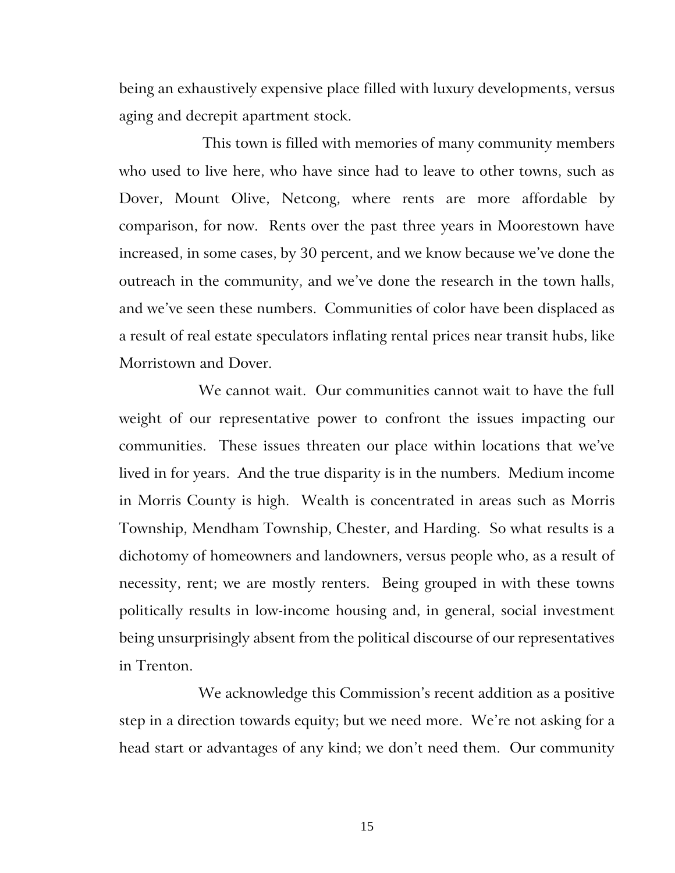being an exhaustively expensive place filled with luxury developments, versus aging and decrepit apartment stock.

This town is filled with memories of many community members who used to live here, who have since had to leave to other towns, such as Dover, Mount Olive, Netcong, where rents are more affordable by comparison, for now. Rents over the past three years in Moorestown have increased, in some cases, by 30 percent, and we know because we've done the outreach in the community, and we've done the research in the town halls, and we've seen these numbers. Communities of color have been displaced as a result of real estate speculators inflating rental prices near transit hubs, like Morristown and Dover.

We cannot wait. Our communities cannot wait to have the full weight of our representative power to confront the issues impacting our communities. These issues threaten our place within locations that we've lived in for years. And the true disparity is in the numbers. Medium income in Morris County is high. Wealth is concentrated in areas such as Morris Township, Mendham Township, Chester, and Harding. So what results is a dichotomy of homeowners and landowners, versus people who, as a result of necessity, rent; we are mostly renters. Being grouped in with these towns politically results in low-income housing and, in general, social investment being unsurprisingly absent from the political discourse of our representatives in Trenton.

We acknowledge this Commission's recent addition as a positive step in a direction towards equity; but we need more. We're not asking for a head start or advantages of any kind; we don't need them. Our community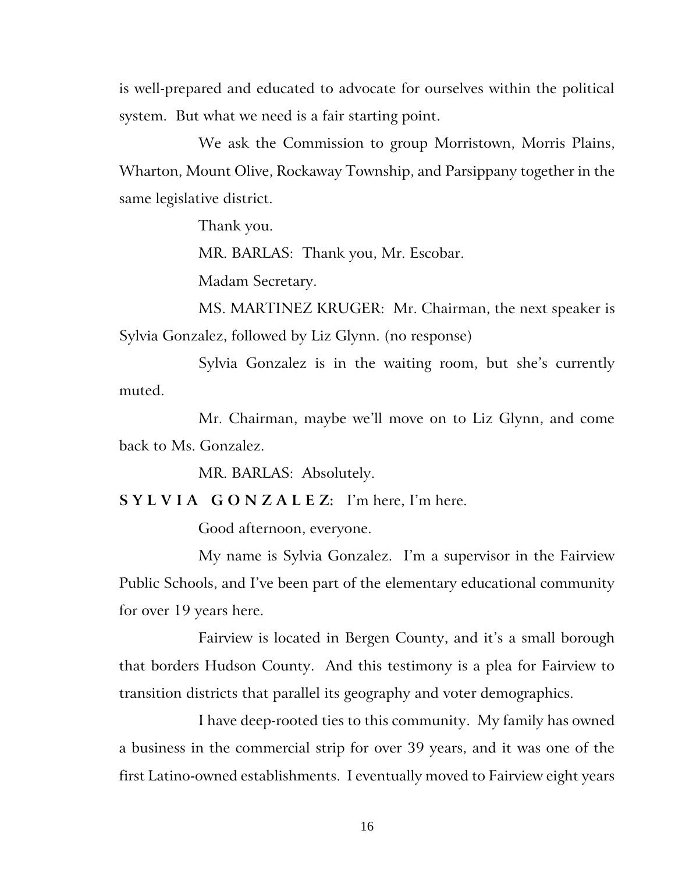is well-prepared and educated to advocate for ourselves within the political system. But what we need is a fair starting point.

We ask the Commission to group Morristown, Morris Plains, Wharton, Mount Olive, Rockaway Township, and Parsippany together in the same legislative district.

Thank you.

MR. BARLAS: Thank you, Mr. Escobar.

Madam Secretary.

MS. MARTINEZ KRUGER: Mr. Chairman, the next speaker is Sylvia Gonzalez, followed by Liz Glynn. (no response)

Sylvia Gonzalez is in the waiting room, but she's currently muted.

Mr. Chairman, maybe we'll move on to Liz Glynn, and come back to Ms. Gonzalez.

MR. BARLAS: Absolutely.

**S Y L V I A G O N Z A L E Z:** I'm here, I'm here.

Good afternoon, everyone.

My name is Sylvia Gonzalez. I'm a supervisor in the Fairview Public Schools, and I've been part of the elementary educational community for over 19 years here.

Fairview is located in Bergen County, and it's a small borough that borders Hudson County. And this testimony is a plea for Fairview to transition districts that parallel its geography and voter demographics.

I have deep-rooted ties to this community. My family has owned a business in the commercial strip for over 39 years, and it was one of the first Latino-owned establishments. I eventually moved to Fairview eight years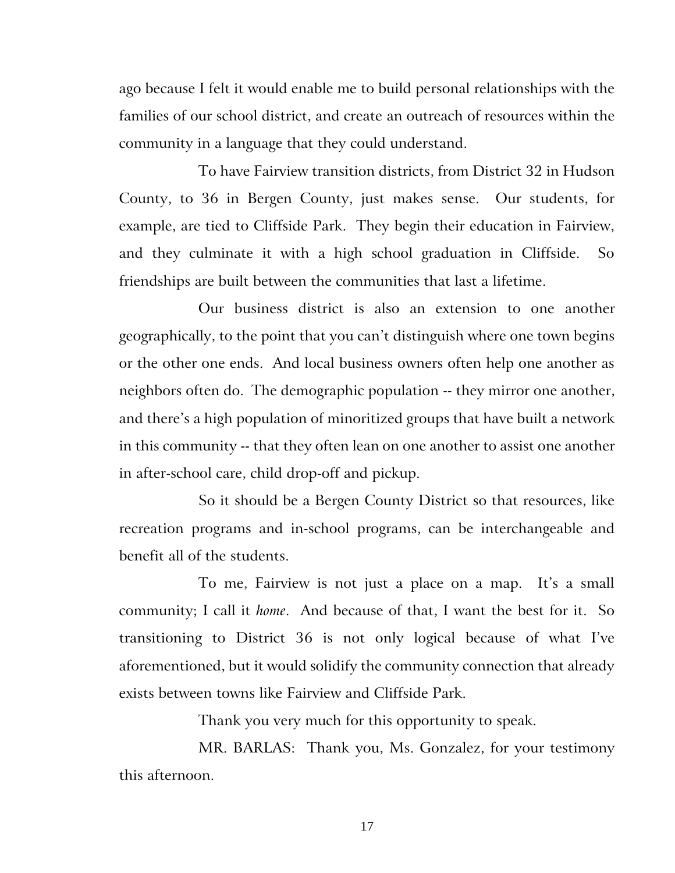ago because I felt it would enable me to build personal relationships with the families of our school district, and create an outreach of resources within the community in a language that they could understand.

To have Fairview transition districts, from District 32 in Hudson County, to 36 in Bergen County, just makes sense. Our students, for example, are tied to Cliffside Park. They begin their education in Fairview, and they culminate it with a high school graduation in Cliffside. So friendships are built between the communities that last a lifetime.

Our business district is also an extension to one another geographically, to the point that you can't distinguish where one town begins or the other one ends. And local business owners often help one another as neighbors often do. The demographic population -- they mirror one another, and there's a high population of minoritized groups that have built a network in this community -- that they often lean on one another to assist one another in after-school care, child drop-off and pickup.

So it should be a Bergen County District so that resources, like recreation programs and in-school programs, can be interchangeable and benefit all of the students.

To me, Fairview is not just a place on a map. It's a small community; I call it *home*. And because of that, I want the best for it. So transitioning to District 36 is not only logical because of what I've aforementioned, but it would solidify the community connection that already exists between towns like Fairview and Cliffside Park.

Thank you very much for this opportunity to speak.

MR. BARLAS: Thank you, Ms. Gonzalez, for your testimony this afternoon.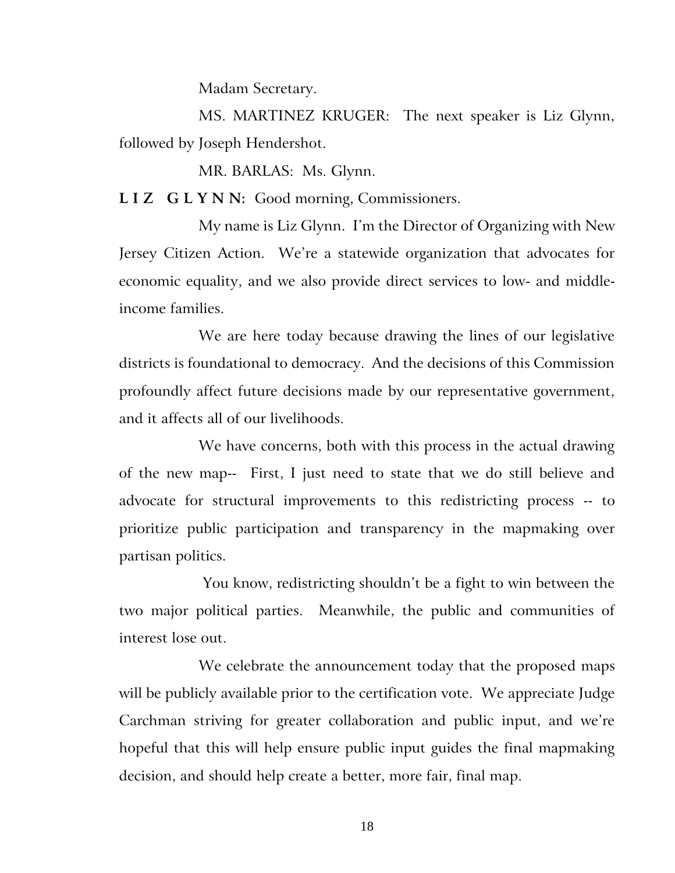Madam Secretary.

MS. MARTINEZ KRUGER: The next speaker is Liz Glynn, followed by Joseph Hendershot.

MR. BARLAS: Ms. Glynn.

**L I Z G L Y N N:** Good morning, Commissioners.

My name is Liz Glynn. I'm the Director of Organizing with New Jersey Citizen Action. We're a statewide organization that advocates for economic equality, and we also provide direct services to low- and middleincome families.

We are here today because drawing the lines of our legislative districts is foundational to democracy. And the decisions of this Commission profoundly affect future decisions made by our representative government, and it affects all of our livelihoods.

We have concerns, both with this process in the actual drawing of the new map-- First, I just need to state that we do still believe and advocate for structural improvements to this redistricting process -- to prioritize public participation and transparency in the mapmaking over partisan politics.

You know, redistricting shouldn't be a fight to win between the two major political parties. Meanwhile, the public and communities of interest lose out.

We celebrate the announcement today that the proposed maps will be publicly available prior to the certification vote. We appreciate Judge Carchman striving for greater collaboration and public input, and we're hopeful that this will help ensure public input guides the final mapmaking decision, and should help create a better, more fair, final map.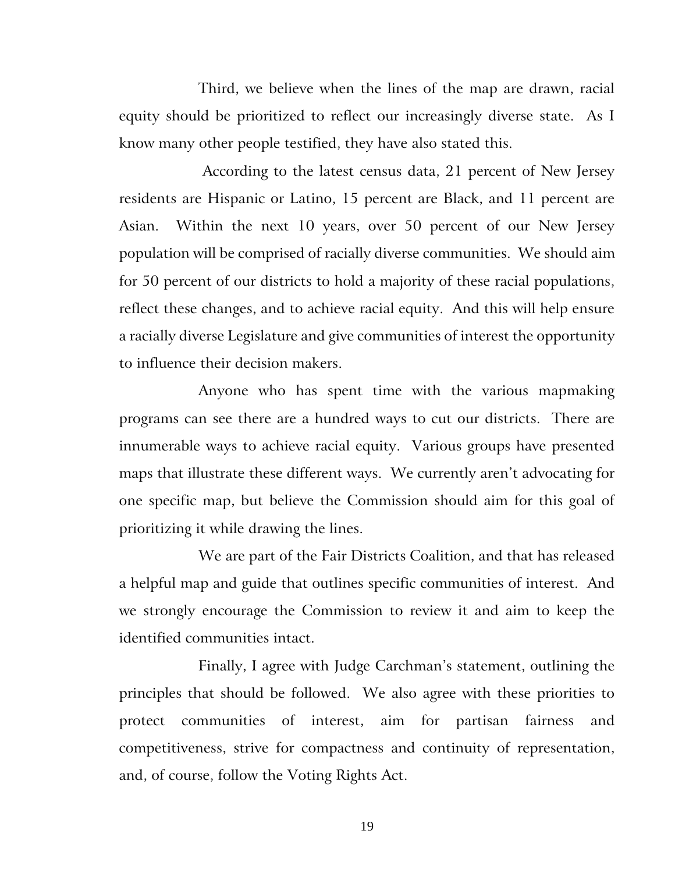Third, we believe when the lines of the map are drawn, racial equity should be prioritized to reflect our increasingly diverse state. As I know many other people testified, they have also stated this.

According to the latest census data, 21 percent of New Jersey residents are Hispanic or Latino, 15 percent are Black, and 11 percent are Asian. Within the next 10 years, over 50 percent of our New Jersey population will be comprised of racially diverse communities. We should aim for 50 percent of our districts to hold a majority of these racial populations, reflect these changes, and to achieve racial equity. And this will help ensure a racially diverse Legislature and give communities of interest the opportunity to influence their decision makers.

Anyone who has spent time with the various mapmaking programs can see there are a hundred ways to cut our districts. There are innumerable ways to achieve racial equity. Various groups have presented maps that illustrate these different ways. We currently aren't advocating for one specific map, but believe the Commission should aim for this goal of prioritizing it while drawing the lines.

We are part of the Fair Districts Coalition, and that has released a helpful map and guide that outlines specific communities of interest. And we strongly encourage the Commission to review it and aim to keep the identified communities intact.

Finally, I agree with Judge Carchman's statement, outlining the principles that should be followed. We also agree with these priorities to protect communities of interest, aim for partisan fairness and competitiveness, strive for compactness and continuity of representation, and, of course, follow the Voting Rights Act.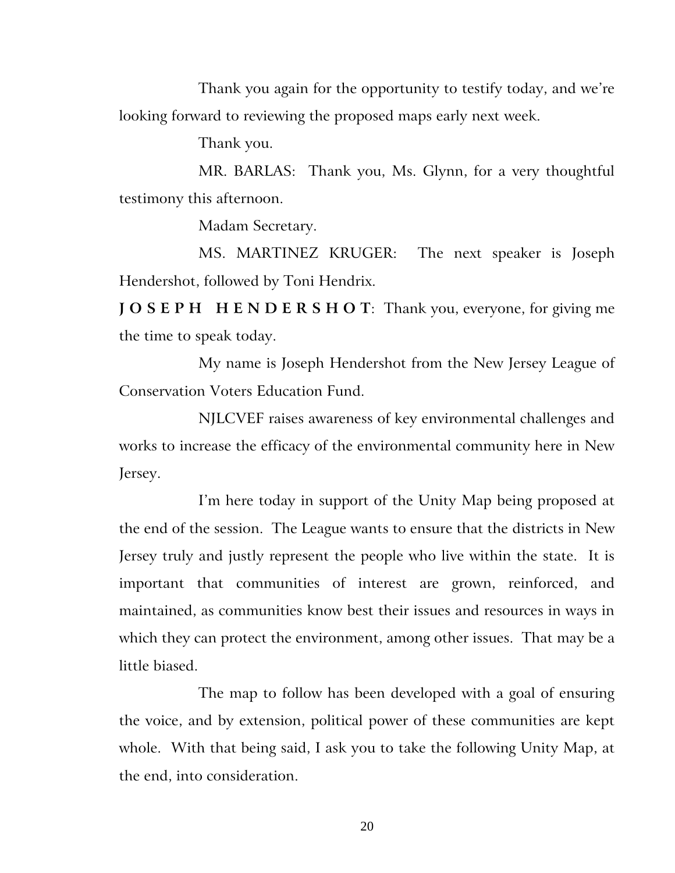Thank you again for the opportunity to testify today, and we're looking forward to reviewing the proposed maps early next week.

Thank you.

MR. BARLAS: Thank you, Ms. Glynn, for a very thoughtful testimony this afternoon.

Madam Secretary.

MS. MARTINEZ KRUGER: The next speaker is Joseph Hendershot, followed by Toni Hendrix.

**J O S E P H H E N D E R S H O T**: Thank you, everyone, for giving me the time to speak today.

My name is Joseph Hendershot from the New Jersey League of Conservation Voters Education Fund.

NJLCVEF raises awareness of key environmental challenges and works to increase the efficacy of the environmental community here in New Jersey.

I'm here today in support of the Unity Map being proposed at the end of the session. The League wants to ensure that the districts in New Jersey truly and justly represent the people who live within the state. It is important that communities of interest are grown, reinforced, and maintained, as communities know best their issues and resources in ways in which they can protect the environment, among other issues. That may be a little biased.

The map to follow has been developed with a goal of ensuring the voice, and by extension, political power of these communities are kept whole. With that being said, I ask you to take the following Unity Map, at the end, into consideration.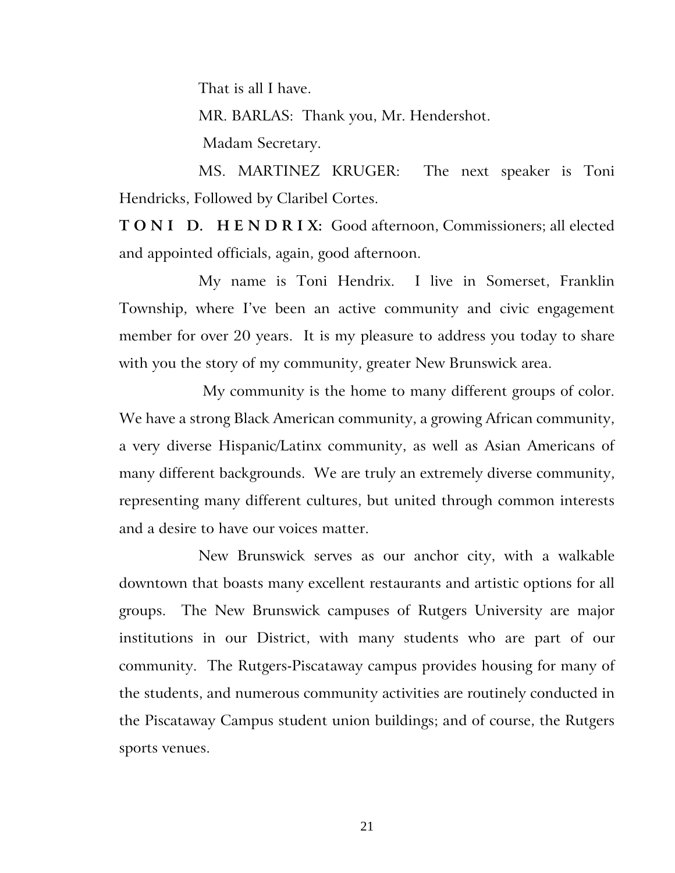That is all I have.

MR. BARLAS: Thank you, Mr. Hendershot.

Madam Secretary.

MS. MARTINEZ KRUGER: The next speaker is Toni Hendricks, Followed by Claribel Cortes.

**T O N I D. H E N D R I X:** Good afternoon, Commissioners; all elected and appointed officials, again, good afternoon.

My name is Toni Hendrix. I live in Somerset, Franklin Township, where I've been an active community and civic engagement member for over 20 years. It is my pleasure to address you today to share with you the story of my community, greater New Brunswick area.

My community is the home to many different groups of color. We have a strong Black American community, a growing African community, a very diverse Hispanic/Latinx community, as well as Asian Americans of many different backgrounds. We are truly an extremely diverse community, representing many different cultures, but united through common interests and a desire to have our voices matter.

New Brunswick serves as our anchor city, with a walkable downtown that boasts many excellent restaurants and artistic options for all groups. The New Brunswick campuses of Rutgers University are major institutions in our District, with many students who are part of our community. The Rutgers-Piscataway campus provides housing for many of the students, and numerous community activities are routinely conducted in the Piscataway Campus student union buildings; and of course, the Rutgers sports venues.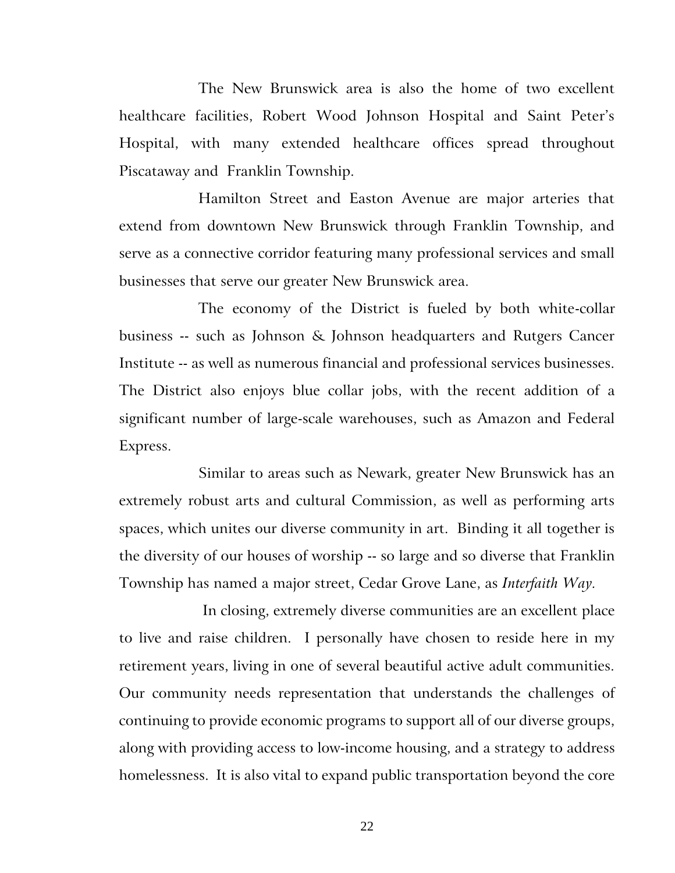The New Brunswick area is also the home of two excellent healthcare facilities, Robert Wood Johnson Hospital and Saint Peter's Hospital, with many extended healthcare offices spread throughout Piscataway and Franklin Township.

Hamilton Street and Easton Avenue are major arteries that extend from downtown New Brunswick through Franklin Township, and serve as a connective corridor featuring many professional services and small businesses that serve our greater New Brunswick area.

The economy of the District is fueled by both white-collar business -- such as Johnson & Johnson headquarters and Rutgers Cancer Institute -- as well as numerous financial and professional services businesses. The District also enjoys blue collar jobs, with the recent addition of a significant number of large-scale warehouses, such as Amazon and Federal Express.

Similar to areas such as Newark, greater New Brunswick has an extremely robust arts and cultural Commission, as well as performing arts spaces, which unites our diverse community in art. Binding it all together is the diversity of our houses of worship -- so large and so diverse that Franklin Township has named a major street, Cedar Grove Lane, as *Interfaith Way.*

In closing, extremely diverse communities are an excellent place to live and raise children. I personally have chosen to reside here in my retirement years, living in one of several beautiful active adult communities. Our community needs representation that understands the challenges of continuing to provide economic programs to support all of our diverse groups, along with providing access to low-income housing, and a strategy to address homelessness. It is also vital to expand public transportation beyond the core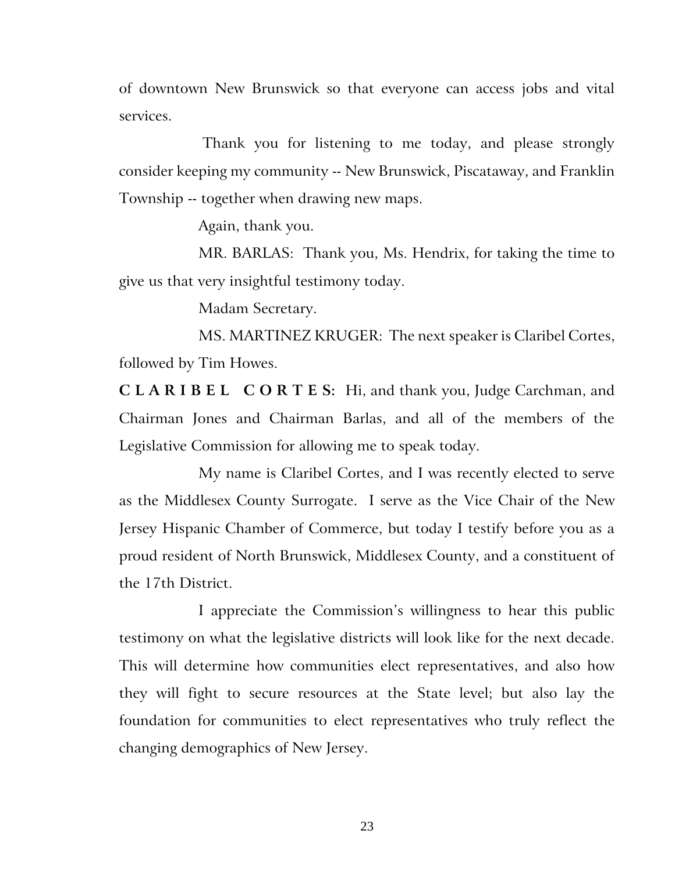of downtown New Brunswick so that everyone can access jobs and vital services.

Thank you for listening to me today, and please strongly consider keeping my community -- New Brunswick, Piscataway, and Franklin Township -- together when drawing new maps.

Again, thank you.

MR. BARLAS: Thank you, Ms. Hendrix, for taking the time to give us that very insightful testimony today.

Madam Secretary.

MS. MARTINEZ KRUGER: The next speaker is Claribel Cortes, followed by Tim Howes.

**C L A R I B E L C O R T E S:** Hi, and thank you, Judge Carchman, and Chairman Jones and Chairman Barlas, and all of the members of the Legislative Commission for allowing me to speak today.

My name is Claribel Cortes, and I was recently elected to serve as the Middlesex County Surrogate. I serve as the Vice Chair of the New Jersey Hispanic Chamber of Commerce, but today I testify before you as a proud resident of North Brunswick, Middlesex County, and a constituent of the 17th District.

I appreciate the Commission's willingness to hear this public testimony on what the legislative districts will look like for the next decade. This will determine how communities elect representatives, and also how they will fight to secure resources at the State level; but also lay the foundation for communities to elect representatives who truly reflect the changing demographics of New Jersey.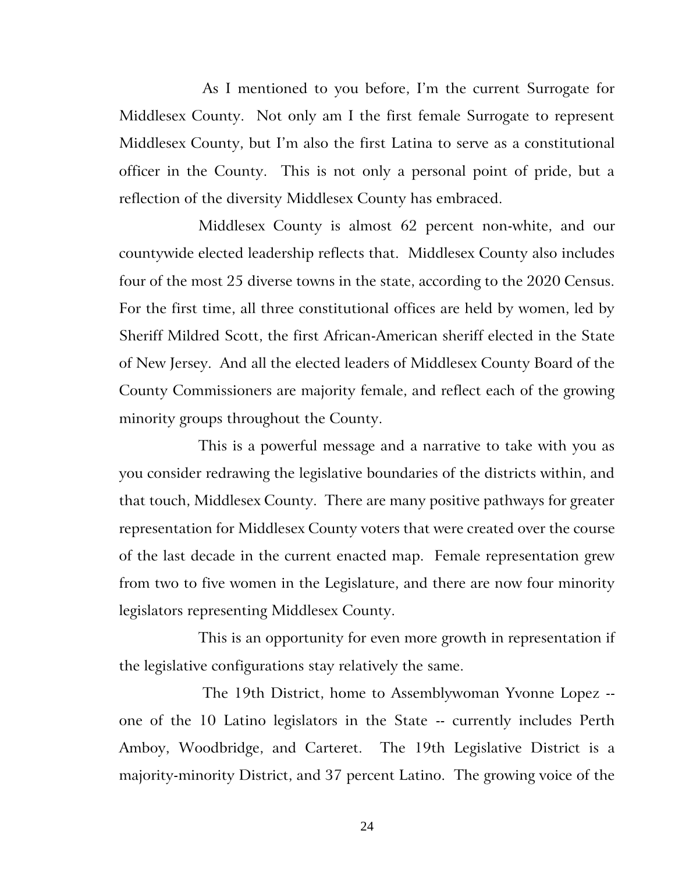As I mentioned to you before, I'm the current Surrogate for Middlesex County. Not only am I the first female Surrogate to represent Middlesex County, but I'm also the first Latina to serve as a constitutional officer in the County. This is not only a personal point of pride, but a reflection of the diversity Middlesex County has embraced.

Middlesex County is almost 62 percent non-white, and our countywide elected leadership reflects that. Middlesex County also includes four of the most 25 diverse towns in the state, according to the 2020 Census. For the first time, all three constitutional offices are held by women, led by Sheriff Mildred Scott, the first African-American sheriff elected in the State of New Jersey. And all the elected leaders of Middlesex County Board of the County Commissioners are majority female, and reflect each of the growing minority groups throughout the County.

This is a powerful message and a narrative to take with you as you consider redrawing the legislative boundaries of the districts within, and that touch, Middlesex County. There are many positive pathways for greater representation for Middlesex County voters that were created over the course of the last decade in the current enacted map. Female representation grew from two to five women in the Legislature, and there are now four minority legislators representing Middlesex County.

This is an opportunity for even more growth in representation if the legislative configurations stay relatively the same.

The 19th District, home to Assemblywoman Yvonne Lopez - one of the 10 Latino legislators in the State -- currently includes Perth Amboy, Woodbridge, and Carteret. The 19th Legislative District is a majority-minority District, and 37 percent Latino. The growing voice of the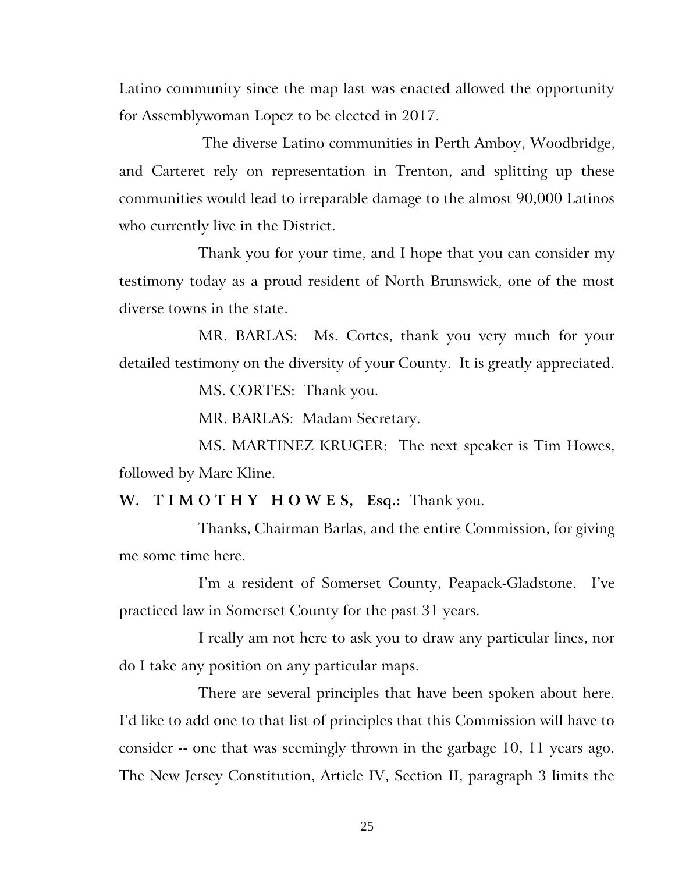Latino community since the map last was enacted allowed the opportunity for Assemblywoman Lopez to be elected in 2017.

The diverse Latino communities in Perth Amboy, Woodbridge, and Carteret rely on representation in Trenton, and splitting up these communities would lead to irreparable damage to the almost 90,000 Latinos who currently live in the District.

Thank you for your time, and I hope that you can consider my testimony today as a proud resident of North Brunswick, one of the most diverse towns in the state.

MR. BARLAS: Ms. Cortes, thank you very much for your detailed testimony on the diversity of your County. It is greatly appreciated.

MS. CORTES: Thank you.

MR. BARLAS: Madam Secretary.

MS. MARTINEZ KRUGER: The next speaker is Tim Howes, followed by Marc Kline.

**W. T I M O T H Y H O W E S, Esq.:** Thank you.

Thanks, Chairman Barlas, and the entire Commission, for giving me some time here.

I'm a resident of Somerset County, Peapack-Gladstone. I've practiced law in Somerset County for the past 31 years.

I really am not here to ask you to draw any particular lines, nor do I take any position on any particular maps.

There are several principles that have been spoken about here. I'd like to add one to that list of principles that this Commission will have to consider -- one that was seemingly thrown in the garbage 10, 11 years ago. The New Jersey Constitution, Article IV, Section II, paragraph 3 limits the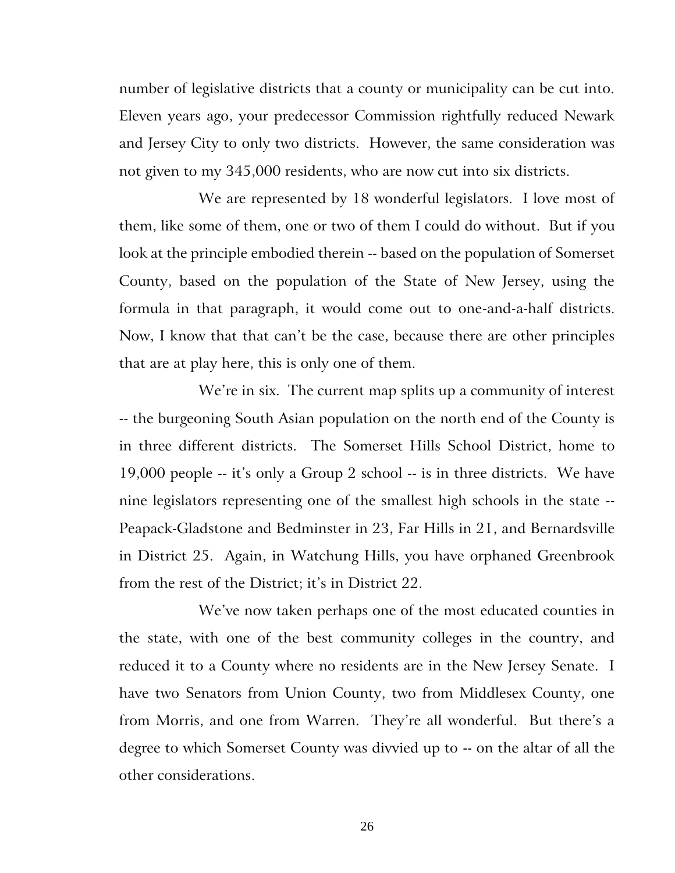number of legislative districts that a county or municipality can be cut into. Eleven years ago, your predecessor Commission rightfully reduced Newark and Jersey City to only two districts. However, the same consideration was not given to my 345,000 residents, who are now cut into six districts.

We are represented by 18 wonderful legislators. I love most of them, like some of them, one or two of them I could do without. But if you look at the principle embodied therein -- based on the population of Somerset County, based on the population of the State of New Jersey, using the formula in that paragraph, it would come out to one-and-a-half districts. Now, I know that that can't be the case, because there are other principles that are at play here, this is only one of them.

We're in six. The current map splits up a community of interest -- the burgeoning South Asian population on the north end of the County is in three different districts. The Somerset Hills School District, home to 19,000 people -- it's only a Group 2 school -- is in three districts. We have nine legislators representing one of the smallest high schools in the state -- Peapack-Gladstone and Bedminster in 23, Far Hills in 21, and Bernardsville in District 25. Again, in Watchung Hills, you have orphaned Greenbrook from the rest of the District; it's in District 22.

We've now taken perhaps one of the most educated counties in the state, with one of the best community colleges in the country, and reduced it to a County where no residents are in the New Jersey Senate. I have two Senators from Union County, two from Middlesex County, one from Morris, and one from Warren. They're all wonderful. But there's a degree to which Somerset County was divvied up to -- on the altar of all the other considerations.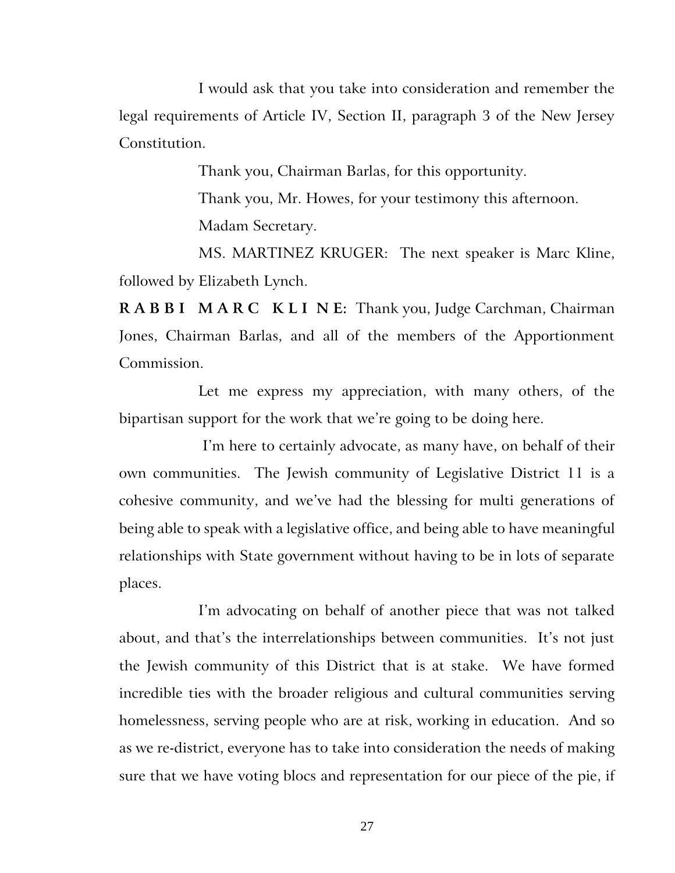I would ask that you take into consideration and remember the legal requirements of Article IV, Section II, paragraph 3 of the New Jersey Constitution.

Thank you, Chairman Barlas, for this opportunity.

Thank you, Mr. Howes, for your testimony this afternoon. Madam Secretary.

MS. MARTINEZ KRUGER: The next speaker is Marc Kline, followed by Elizabeth Lynch.

**R A B B I M A R C K L I N E:** Thank you, Judge Carchman, Chairman Jones, Chairman Barlas, and all of the members of the Apportionment Commission.

Let me express my appreciation, with many others, of the bipartisan support for the work that we're going to be doing here.

I'm here to certainly advocate, as many have, on behalf of their own communities. The Jewish community of Legislative District 11 is a cohesive community, and we've had the blessing for multi generations of being able to speak with a legislative office, and being able to have meaningful relationships with State government without having to be in lots of separate places.

I'm advocating on behalf of another piece that was not talked about, and that's the interrelationships between communities. It's not just the Jewish community of this District that is at stake. We have formed incredible ties with the broader religious and cultural communities serving homelessness, serving people who are at risk, working in education. And so as we re-district, everyone has to take into consideration the needs of making sure that we have voting blocs and representation for our piece of the pie, if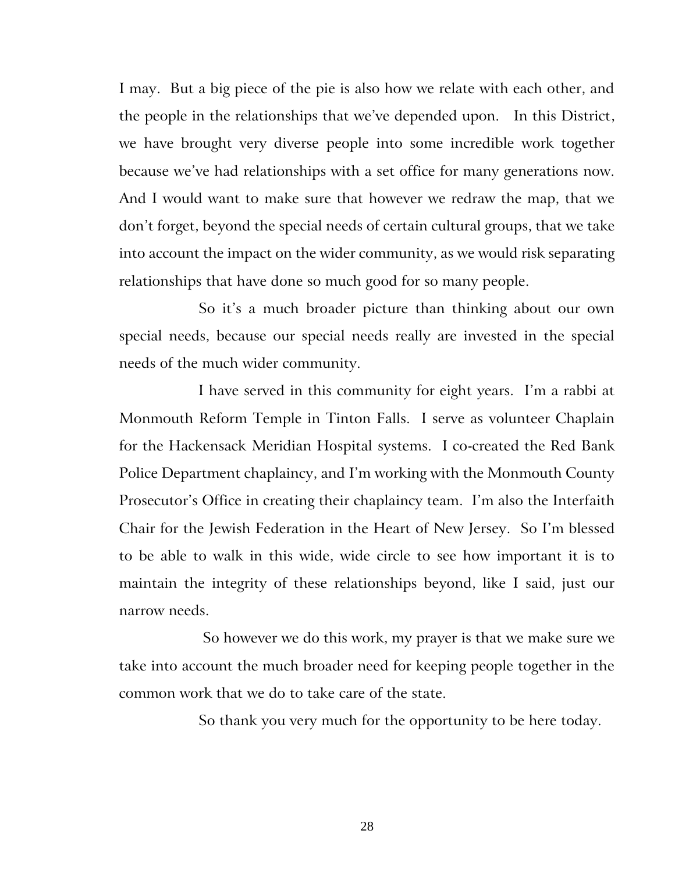I may. But a big piece of the pie is also how we relate with each other, and the people in the relationships that we've depended upon. In this District, we have brought very diverse people into some incredible work together because we've had relationships with a set office for many generations now. And I would want to make sure that however we redraw the map, that we don't forget, beyond the special needs of certain cultural groups, that we take into account the impact on the wider community, as we would risk separating relationships that have done so much good for so many people.

So it's a much broader picture than thinking about our own special needs, because our special needs really are invested in the special needs of the much wider community.

I have served in this community for eight years. I'm a rabbi at Monmouth Reform Temple in Tinton Falls. I serve as volunteer Chaplain for the Hackensack Meridian Hospital systems. I co-created the Red Bank Police Department chaplaincy, and I'm working with the Monmouth County Prosecutor's Office in creating their chaplaincy team. I'm also the Interfaith Chair for the Jewish Federation in the Heart of New Jersey. So I'm blessed to be able to walk in this wide, wide circle to see how important it is to maintain the integrity of these relationships beyond, like I said, just our narrow needs.

So however we do this work, my prayer is that we make sure we take into account the much broader need for keeping people together in the common work that we do to take care of the state.

So thank you very much for the opportunity to be here today.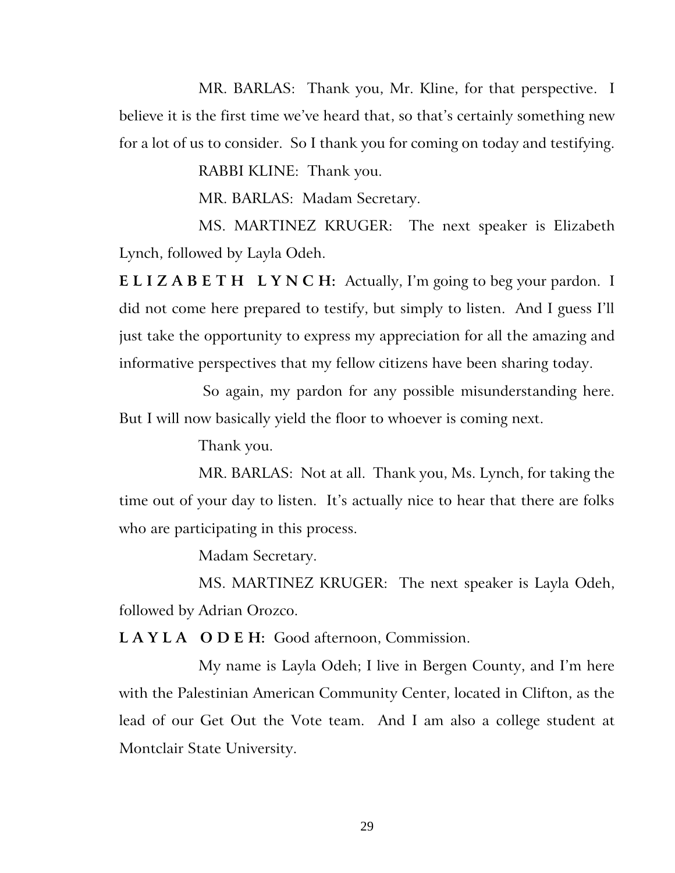MR. BARLAS: Thank you, Mr. Kline, for that perspective. I believe it is the first time we've heard that, so that's certainly something new for a lot of us to consider. So I thank you for coming on today and testifying.

RABBI KLINE: Thank you.

MR. BARLAS: Madam Secretary.

MS. MARTINEZ KRUGER: The next speaker is Elizabeth Lynch, followed by Layla Odeh.

**E L I Z A B E T H L Y N C H:** Actually, I'm going to beg your pardon. I did not come here prepared to testify, but simply to listen. And I guess I'll just take the opportunity to express my appreciation for all the amazing and informative perspectives that my fellow citizens have been sharing today.

So again, my pardon for any possible misunderstanding here. But I will now basically yield the floor to whoever is coming next.

Thank you.

MR. BARLAS: Not at all. Thank you, Ms. Lynch, for taking the time out of your day to listen. It's actually nice to hear that there are folks who are participating in this process.

Madam Secretary.

MS. MARTINEZ KRUGER: The next speaker is Layla Odeh, followed by Adrian Orozco.

**L A Y L A O D E H:** Good afternoon, Commission.

My name is Layla Odeh; I live in Bergen County, and I'm here with the Palestinian American Community Center, located in Clifton, as the lead of our Get Out the Vote team. And I am also a college student at Montclair State University.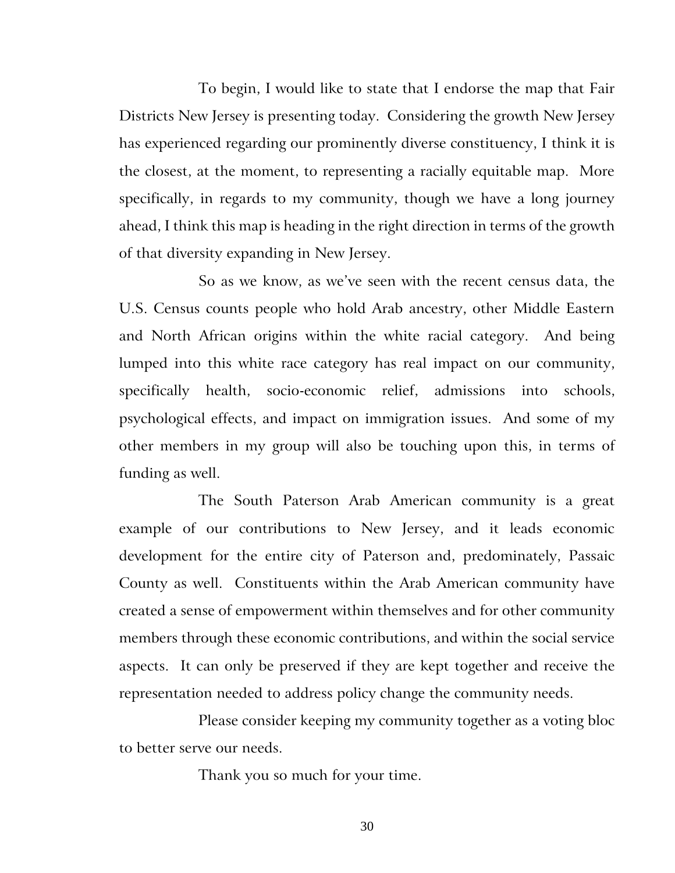To begin, I would like to state that I endorse the map that Fair Districts New Jersey is presenting today. Considering the growth New Jersey has experienced regarding our prominently diverse constituency, I think it is the closest, at the moment, to representing a racially equitable map. More specifically, in regards to my community, though we have a long journey ahead, I think this map is heading in the right direction in terms of the growth of that diversity expanding in New Jersey.

So as we know, as we've seen with the recent census data, the U.S. Census counts people who hold Arab ancestry, other Middle Eastern and North African origins within the white racial category. And being lumped into this white race category has real impact on our community, specifically health, socio-economic relief, admissions into schools, psychological effects, and impact on immigration issues. And some of my other members in my group will also be touching upon this, in terms of funding as well.

The South Paterson Arab American community is a great example of our contributions to New Jersey, and it leads economic development for the entire city of Paterson and, predominately, Passaic County as well. Constituents within the Arab American community have created a sense of empowerment within themselves and for other community members through these economic contributions, and within the social service aspects. It can only be preserved if they are kept together and receive the representation needed to address policy change the community needs.

Please consider keeping my community together as a voting bloc to better serve our needs.

Thank you so much for your time.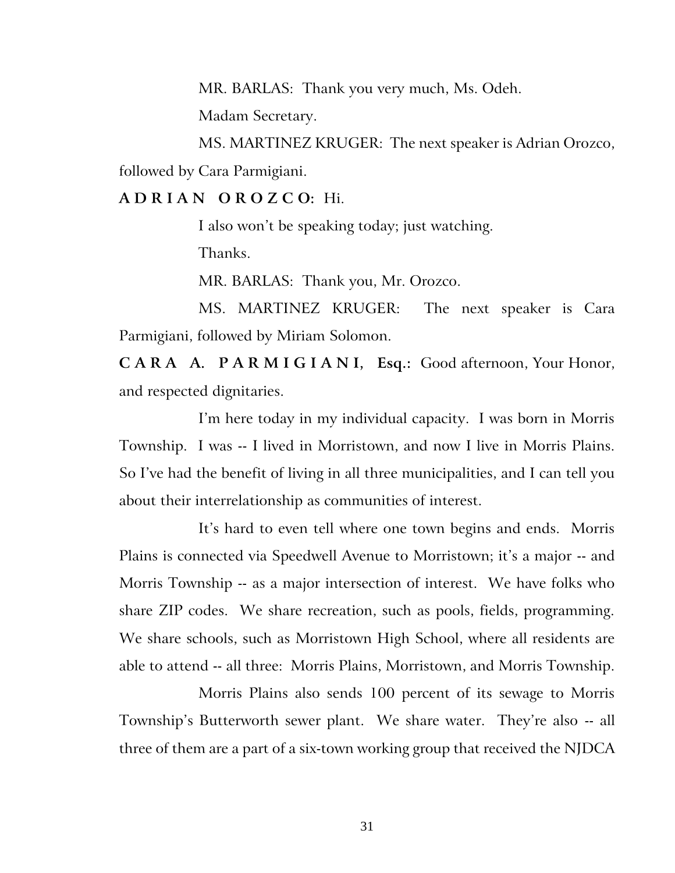MR. BARLAS: Thank you very much, Ms. Odeh.

Madam Secretary.

MS. MARTINEZ KRUGER: The next speaker is Adrian Orozco, followed by Cara Parmigiani.

**A D R I A N O R O Z C O:** Hi.

I also won't be speaking today; just watching.

Thanks.

MR. BARLAS: Thank you, Mr. Orozco.

MS. MARTINEZ KRUGER: The next speaker is Cara Parmigiani, followed by Miriam Solomon.

**C A R A A. P A R M I G I A N I, Esq.:** Good afternoon, Your Honor, and respected dignitaries.

I'm here today in my individual capacity. I was born in Morris Township. I was -- I lived in Morristown, and now I live in Morris Plains. So I've had the benefit of living in all three municipalities, and I can tell you about their interrelationship as communities of interest.

It's hard to even tell where one town begins and ends. Morris Plains is connected via Speedwell Avenue to Morristown; it's a major -- and Morris Township -- as a major intersection of interest. We have folks who share ZIP codes. We share recreation, such as pools, fields, programming. We share schools, such as Morristown High School, where all residents are able to attend -- all three: Morris Plains, Morristown, and Morris Township.

Morris Plains also sends 100 percent of its sewage to Morris Township's Butterworth sewer plant. We share water. They're also -- all three of them are a part of a six-town working group that received the NJDCA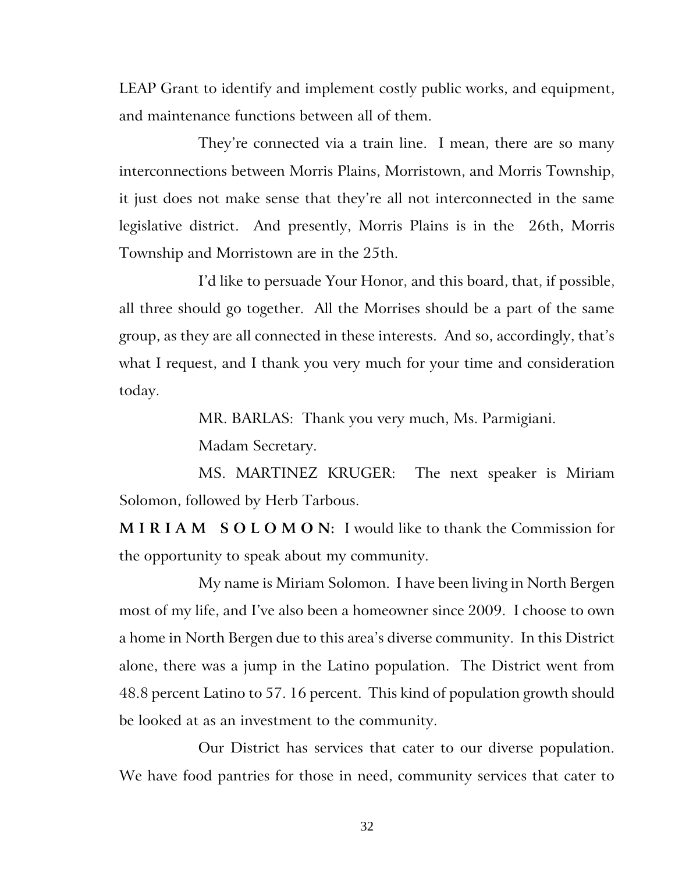LEAP Grant to identify and implement costly public works, and equipment, and maintenance functions between all of them.

They're connected via a train line. I mean, there are so many interconnections between Morris Plains, Morristown, and Morris Township, it just does not make sense that they're all not interconnected in the same legislative district. And presently, Morris Plains is in the 26th, Morris Township and Morristown are in the 25th.

I'd like to persuade Your Honor, and this board, that, if possible, all three should go together. All the Morrises should be a part of the same group, as they are all connected in these interests. And so, accordingly, that's what I request, and I thank you very much for your time and consideration today.

MR. BARLAS: Thank you very much, Ms. Parmigiani.

Madam Secretary.

MS. MARTINEZ KRUGER: The next speaker is Miriam Solomon, followed by Herb Tarbous.

**M I R I A M S O L O M O N:** I would like to thank the Commission for the opportunity to speak about my community.

My name is Miriam Solomon. I have been living in North Bergen most of my life, and I've also been a homeowner since 2009. I choose to own a home in North Bergen due to this area's diverse community. In this District alone, there was a jump in the Latino population. The District went from 48.8 percent Latino to 57. 16 percent. This kind of population growth should be looked at as an investment to the community.

Our District has services that cater to our diverse population. We have food pantries for those in need, community services that cater to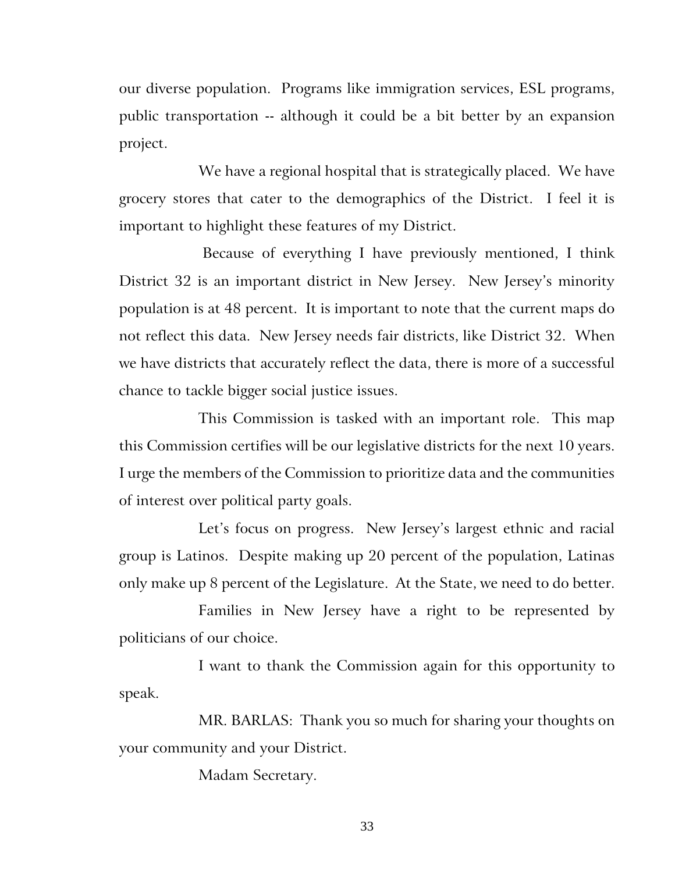our diverse population. Programs like immigration services, ESL programs, public transportation -- although it could be a bit better by an expansion project.

We have a regional hospital that is strategically placed. We have grocery stores that cater to the demographics of the District. I feel it is important to highlight these features of my District.

Because of everything I have previously mentioned, I think District 32 is an important district in New Jersey. New Jersey's minority population is at 48 percent. It is important to note that the current maps do not reflect this data. New Jersey needs fair districts, like District 32. When we have districts that accurately reflect the data, there is more of a successful chance to tackle bigger social justice issues.

This Commission is tasked with an important role. This map this Commission certifies will be our legislative districts for the next 10 years. I urge the members of the Commission to prioritize data and the communities of interest over political party goals.

Let's focus on progress. New Jersey's largest ethnic and racial group is Latinos. Despite making up 20 percent of the population, Latinas only make up 8 percent of the Legislature. At the State, we need to do better.

Families in New Jersey have a right to be represented by politicians of our choice.

I want to thank the Commission again for this opportunity to speak.

MR. BARLAS: Thank you so much for sharing your thoughts on your community and your District.

Madam Secretary.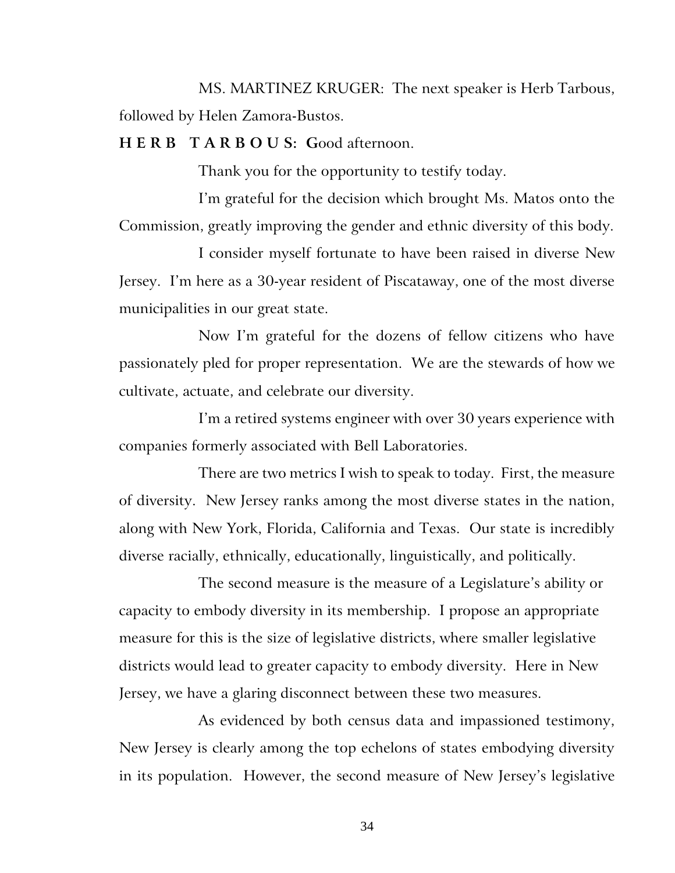MS. MARTINEZ KRUGER: The next speaker is Herb Tarbous, followed by Helen Zamora-Bustos.

**H E R B T A R B O U S: G**ood afternoon.

Thank you for the opportunity to testify today.

I'm grateful for the decision which brought Ms. Matos onto the Commission, greatly improving the gender and ethnic diversity of this body.

I consider myself fortunate to have been raised in diverse New Jersey. I'm here as a 30-year resident of Piscataway, one of the most diverse municipalities in our great state.

Now I'm grateful for the dozens of fellow citizens who have passionately pled for proper representation. We are the stewards of how we cultivate, actuate, and celebrate our diversity.

I'm a retired systems engineer with over 30 years experience with companies formerly associated with Bell Laboratories.

There are two metrics I wish to speak to today. First, the measure of diversity. New Jersey ranks among the most diverse states in the nation, along with New York, Florida, California and Texas. Our state is incredibly diverse racially, ethnically, educationally, linguistically, and politically.

The second measure is the measure of a Legislature's ability or capacity to embody diversity in its membership. I propose an appropriate measure for this is the size of legislative districts, where smaller legislative districts would lead to greater capacity to embody diversity. Here in New Jersey, we have a glaring disconnect between these two measures.

As evidenced by both census data and impassioned testimony, New Jersey is clearly among the top echelons of states embodying diversity in its population. However, the second measure of New Jersey's legislative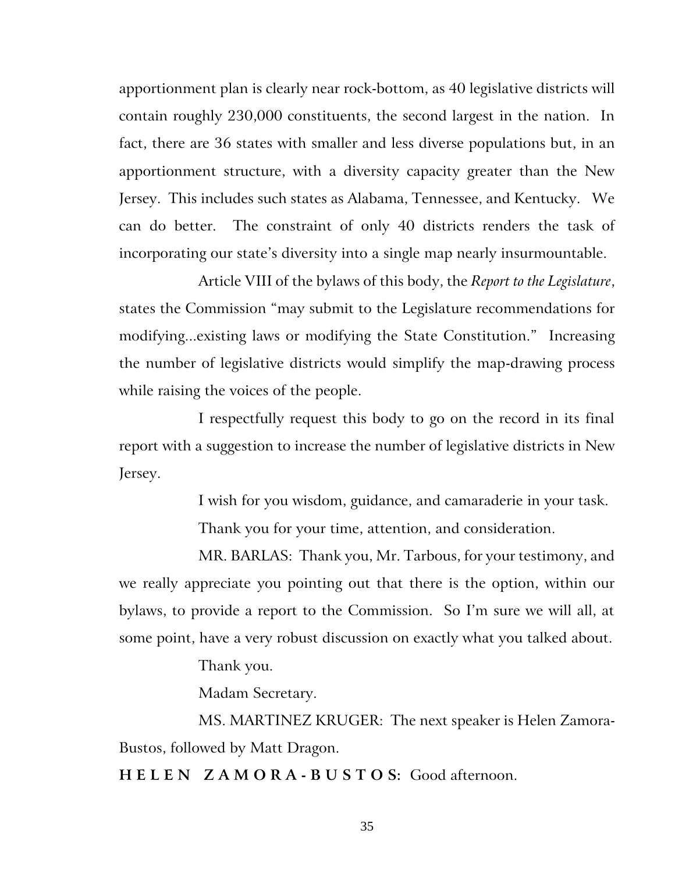apportionment plan is clearly near rock-bottom, as 40 legislative districts will contain roughly 230,000 constituents, the second largest in the nation. In fact, there are 36 states with smaller and less diverse populations but, in an apportionment structure, with a diversity capacity greater than the New Jersey. This includes such states as Alabama, Tennessee, and Kentucky. We can do better. The constraint of only 40 districts renders the task of incorporating our state's diversity into a single map nearly insurmountable.

Article VIII of the bylaws of this body, the *Report to the Legislature*, states the Commission "may submit to the Legislature recommendations for modifying...existing laws or modifying the State Constitution." Increasing the number of legislative districts would simplify the map-drawing process while raising the voices of the people.

I respectfully request this body to go on the record in its final report with a suggestion to increase the number of legislative districts in New Jersey.

I wish for you wisdom, guidance, and camaraderie in your task.

Thank you for your time, attention, and consideration.

MR. BARLAS: Thank you, Mr. Tarbous, for your testimony, and we really appreciate you pointing out that there is the option, within our bylaws, to provide a report to the Commission. So I'm sure we will all, at some point, have a very robust discussion on exactly what you talked about.

Thank you.

Madam Secretary.

MS. MARTINEZ KRUGER: The next speaker is Helen Zamora-Bustos, followed by Matt Dragon.

**H E L E N Z A M O R A - B U S T O S:** Good afternoon.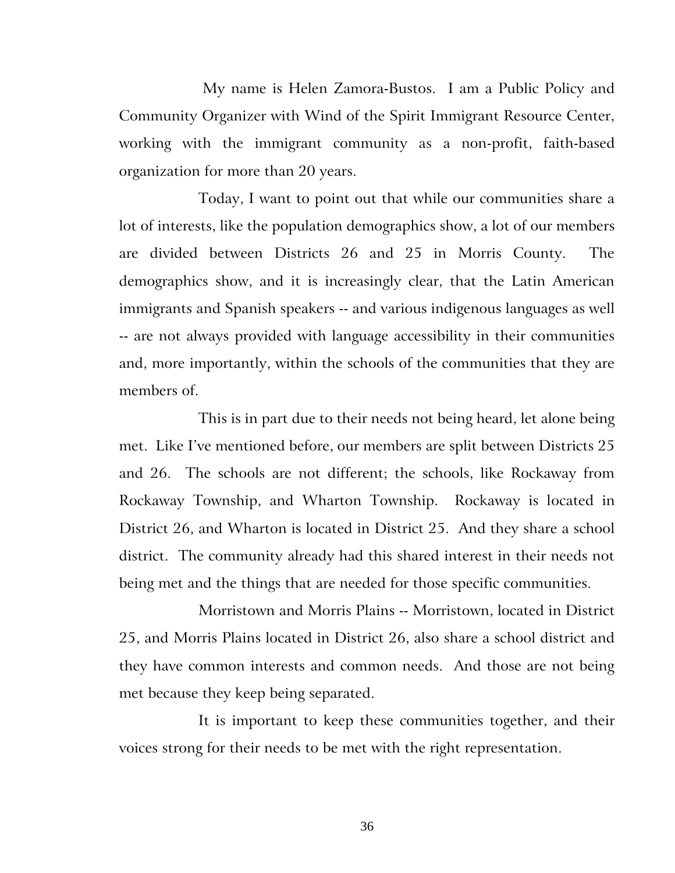My name is Helen Zamora-Bustos. I am a Public Policy and Community Organizer with Wind of the Spirit Immigrant Resource Center, working with the immigrant community as a non-profit, faith-based organization for more than 20 years.

Today, I want to point out that while our communities share a lot of interests, like the population demographics show, a lot of our members are divided between Districts 26 and 25 in Morris County. The demographics show, and it is increasingly clear, that the Latin American immigrants and Spanish speakers -- and various indigenous languages as well -- are not always provided with language accessibility in their communities and, more importantly, within the schools of the communities that they are members of.

This is in part due to their needs not being heard, let alone being met. Like I've mentioned before, our members are split between Districts 25 and 26. The schools are not different; the schools, like Rockaway from Rockaway Township, and Wharton Township. Rockaway is located in District 26, and Wharton is located in District 25. And they share a school district. The community already had this shared interest in their needs not being met and the things that are needed for those specific communities.

Morristown and Morris Plains -- Morristown, located in District 25, and Morris Plains located in District 26, also share a school district and they have common interests and common needs. And those are not being met because they keep being separated.

It is important to keep these communities together, and their voices strong for their needs to be met with the right representation.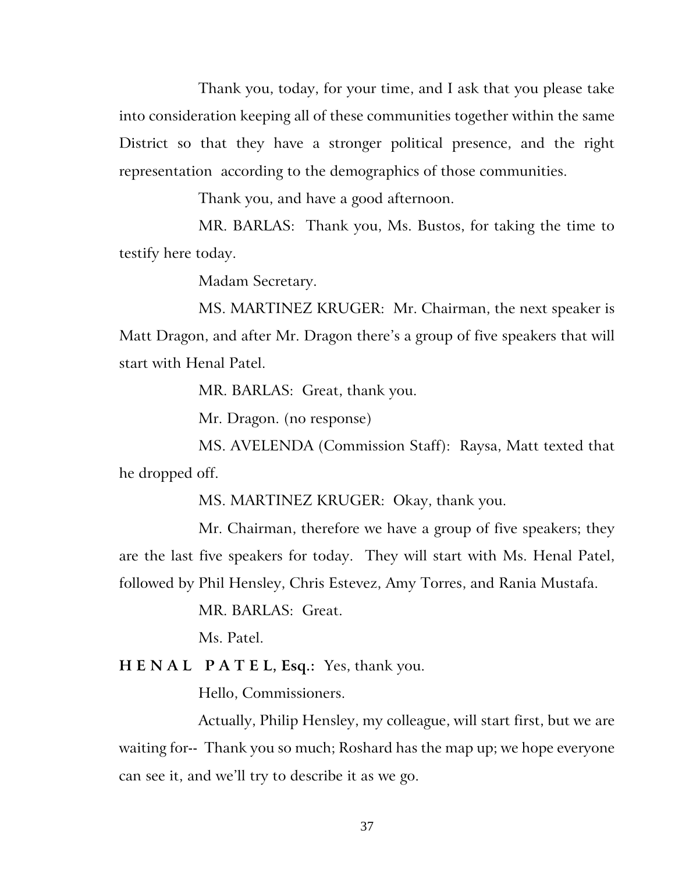Thank you, today, for your time, and I ask that you please take into consideration keeping all of these communities together within the same District so that they have a stronger political presence, and the right representation according to the demographics of those communities.

Thank you, and have a good afternoon.

MR. BARLAS: Thank you, Ms. Bustos, for taking the time to testify here today.

Madam Secretary.

MS. MARTINEZ KRUGER: Mr. Chairman, the next speaker is Matt Dragon, and after Mr. Dragon there's a group of five speakers that will start with Henal Patel.

MR. BARLAS: Great, thank you.

Mr. Dragon. (no response)

MS. AVELENDA (Commission Staff): Raysa, Matt texted that he dropped off.

MS. MARTINEZ KRUGER: Okay, thank you.

Mr. Chairman, therefore we have a group of five speakers; they are the last five speakers for today. They will start with Ms. Henal Patel, followed by Phil Hensley, Chris Estevez, Amy Torres, and Rania Mustafa.

MR. BARLAS: Great.

Ms. Patel.

**H E N A L P A T E L, Esq.:** Yes, thank you.

Hello, Commissioners.

Actually, Philip Hensley, my colleague, will start first, but we are waiting for-- Thank you so much; Roshard has the map up; we hope everyone can see it, and we'll try to describe it as we go.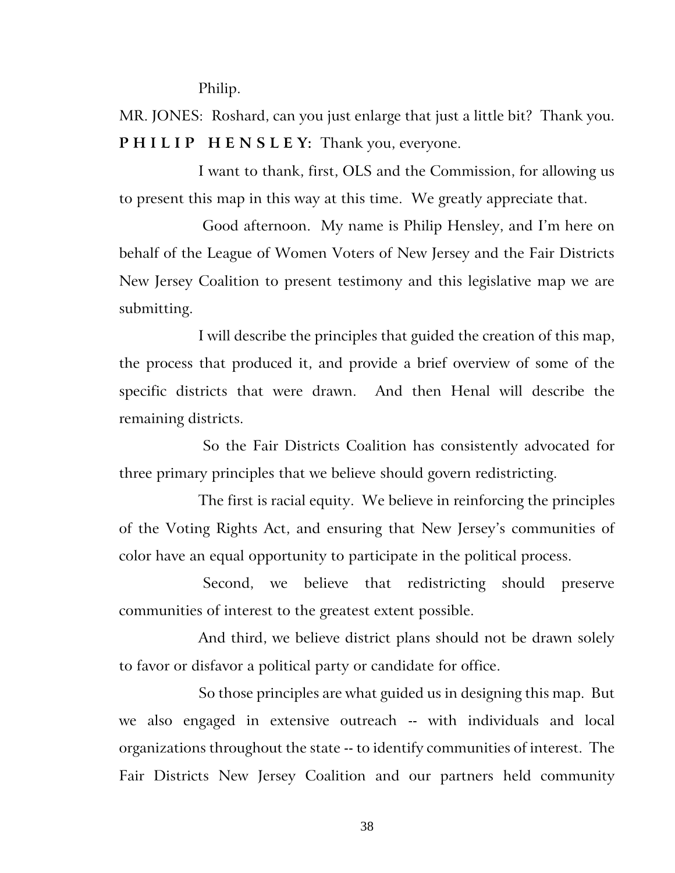Philip.

MR. JONES:Roshard, can you just enlarge that just a little bit? Thank you. **P H I L I P H E N S L E Y:** Thank you, everyone.

I want to thank, first, OLS and the Commission, for allowing us to present this map in this way at this time. We greatly appreciate that.

Good afternoon. My name is Philip Hensley, and I'm here on behalf of the League of Women Voters of New Jersey and the Fair Districts New Jersey Coalition to present testimony and this legislative map we are submitting.

I will describe the principles that guided the creation of this map, the process that produced it, and provide a brief overview of some of the specific districts that were drawn. And then Henal will describe the remaining districts.

So the Fair Districts Coalition has consistently advocated for three primary principles that we believe should govern redistricting.

The first is racial equity. We believe in reinforcing the principles of the Voting Rights Act, and ensuring that New Jersey's communities of color have an equal opportunity to participate in the political process.

Second, we believe that redistricting should preserve communities of interest to the greatest extent possible.

And third, we believe district plans should not be drawn solely to favor or disfavor a political party or candidate for office.

So those principles are what guided us in designing this map. But we also engaged in extensive outreach -- with individuals and local organizations throughout the state -- to identify communities of interest. The Fair Districts New Jersey Coalition and our partners held community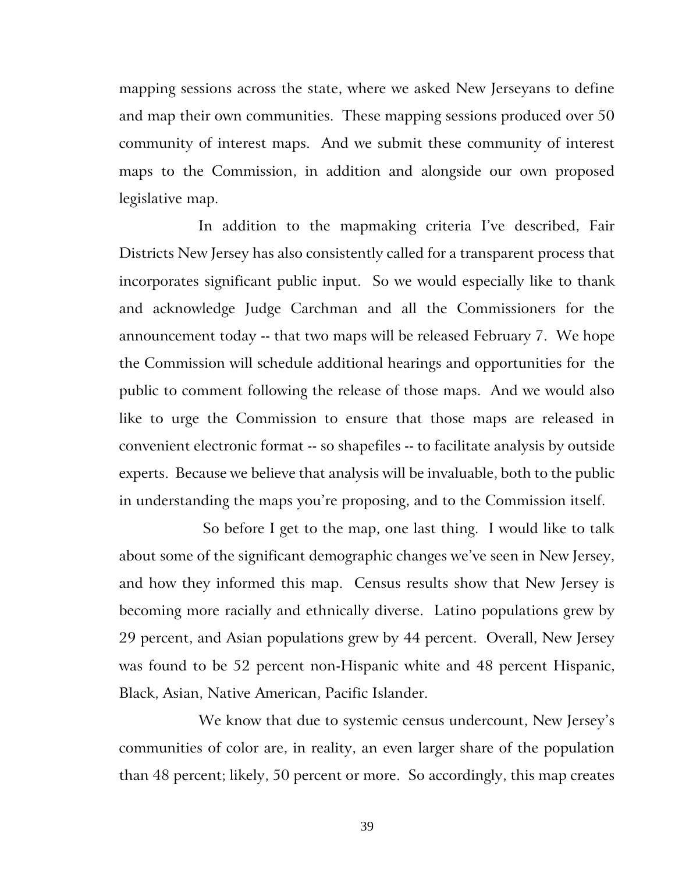mapping sessions across the state, where we asked New Jerseyans to define and map their own communities. These mapping sessions produced over 50 community of interest maps. And we submit these community of interest maps to the Commission, in addition and alongside our own proposed legislative map.

In addition to the mapmaking criteria I've described, Fair Districts New Jersey has also consistently called for a transparent process that incorporates significant public input. So we would especially like to thank and acknowledge Judge Carchman and all the Commissioners for the announcement today -- that two maps will be released February 7. We hope the Commission will schedule additional hearings and opportunities for the public to comment following the release of those maps. And we would also like to urge the Commission to ensure that those maps are released in convenient electronic format -- so shapefiles -- to facilitate analysis by outside experts. Because we believe that analysis will be invaluable, both to the public in understanding the maps you're proposing, and to the Commission itself.

So before I get to the map, one last thing. I would like to talk about some of the significant demographic changes we've seen in New Jersey, and how they informed this map. Census results show that New Jersey is becoming more racially and ethnically diverse. Latino populations grew by 29 percent, and Asian populations grew by 44 percent. Overall, New Jersey was found to be 52 percent non-Hispanic white and 48 percent Hispanic, Black, Asian, Native American, Pacific Islander.

We know that due to systemic census undercount, New Jersey's communities of color are, in reality, an even larger share of the population than 48 percent; likely, 50 percent or more. So accordingly, this map creates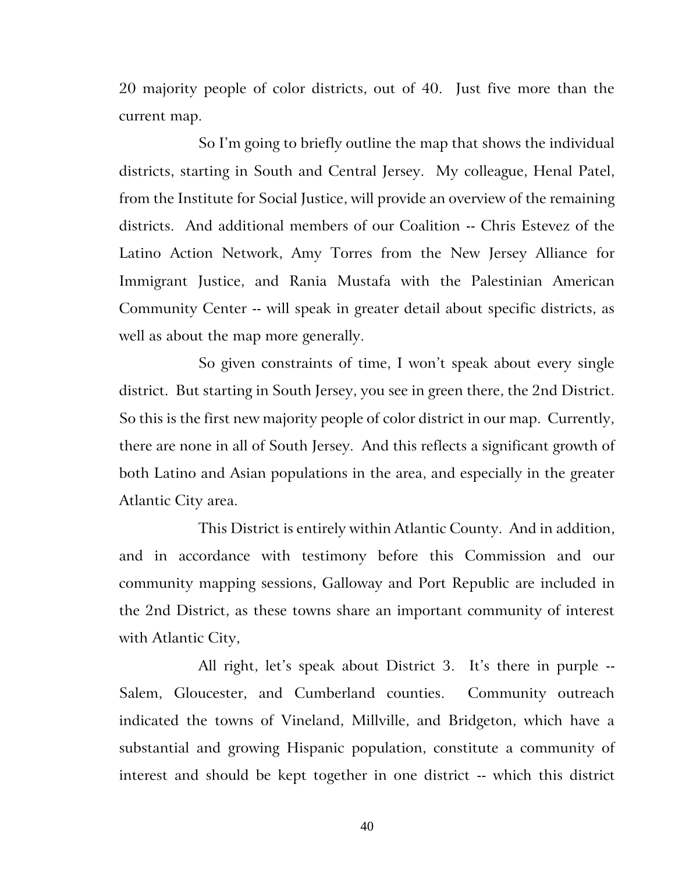20 majority people of color districts, out of 40. Just five more than the current map.

So I'm going to briefly outline the map that shows the individual districts, starting in South and Central Jersey. My colleague, Henal Patel, from the Institute for Social Justice, will provide an overview of the remaining districts. And additional members of our Coalition -- Chris Estevez of the Latino Action Network, Amy Torres from the New Jersey Alliance for Immigrant Justice, and Rania Mustafa with the Palestinian American Community Center -- will speak in greater detail about specific districts, as well as about the map more generally.

So given constraints of time, I won't speak about every single district. But starting in South Jersey, you see in green there, the 2nd District. So this is the first new majority people of color district in our map. Currently, there are none in all of South Jersey. And this reflects a significant growth of both Latino and Asian populations in the area, and especially in the greater Atlantic City area.

This District is entirely within Atlantic County. And in addition, and in accordance with testimony before this Commission and our community mapping sessions, Galloway and Port Republic are included in the 2nd District, as these towns share an important community of interest with Atlantic City,

All right, let's speak about District 3. It's there in purple -- Salem, Gloucester, and Cumberland counties. Community outreach indicated the towns of Vineland, Millville, and Bridgeton, which have a substantial and growing Hispanic population, constitute a community of interest and should be kept together in one district -- which this district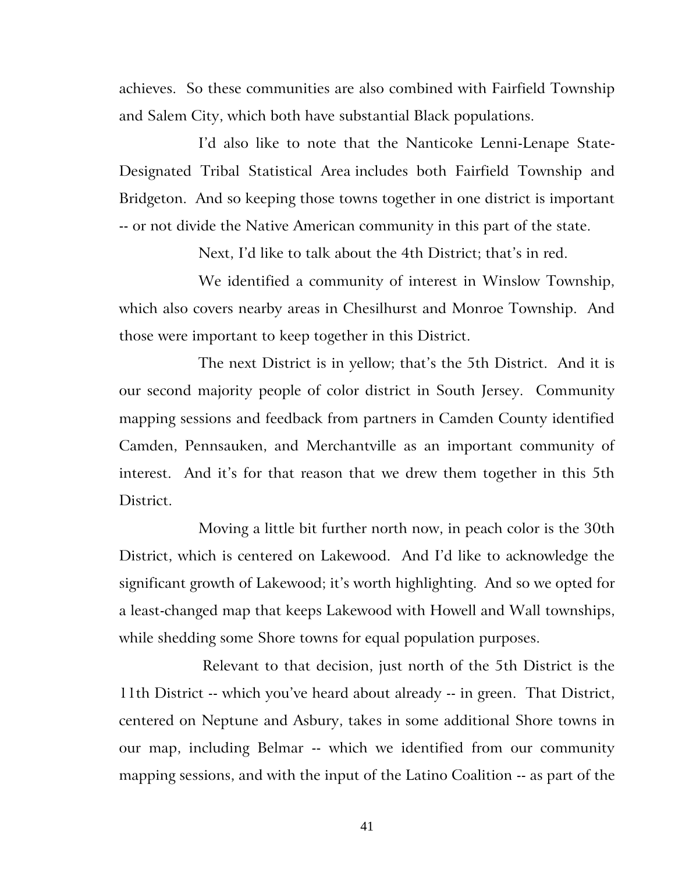achieves. So these communities are also combined with Fairfield Township and Salem City, which both have substantial Black populations.

I'd also like to note that the Nanticoke Lenni-Lenape State-Designated Tribal Statistical Area includes both Fairfield Township and Bridgeton. And so keeping those towns together in one district is important -- or not divide the Native American community in this part of the state.

Next, I'd like to talk about the 4th District; that's in red.

We identified a community of interest in Winslow Township, which also covers nearby areas in Chesilhurst and Monroe Township. And those were important to keep together in this District.

The next District is in yellow; that's the 5th District. And it is our second majority people of color district in South Jersey. Community mapping sessions and feedback from partners in Camden County identified Camden, Pennsauken, and Merchantville as an important community of interest. And it's for that reason that we drew them together in this 5th District.

Moving a little bit further north now, in peach color is the 30th District, which is centered on Lakewood. And I'd like to acknowledge the significant growth of Lakewood; it's worth highlighting. And so we opted for a least-changed map that keeps Lakewood with Howell and Wall townships, while shedding some Shore towns for equal population purposes.

Relevant to that decision, just north of the 5th District is the 11th District -- which you've heard about already -- in green. That District, centered on Neptune and Asbury, takes in some additional Shore towns in our map, including Belmar -- which we identified from our community mapping sessions, and with the input of the Latino Coalition -- as part of the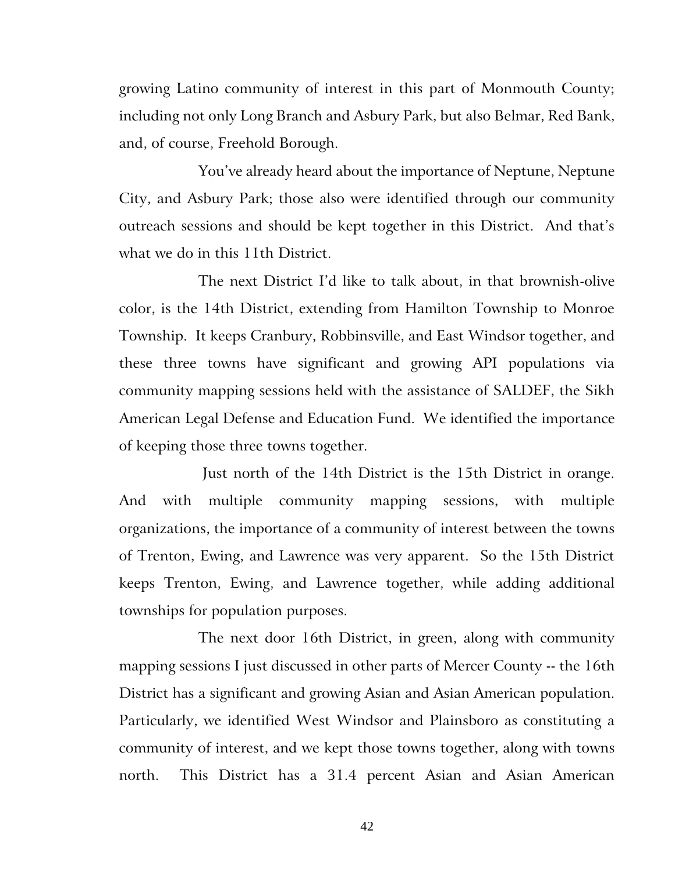growing Latino community of interest in this part of Monmouth County; including not only Long Branch and Asbury Park, but also Belmar, Red Bank, and, of course, Freehold Borough.

You've already heard about the importance of Neptune, Neptune City, and Asbury Park; those also were identified through our community outreach sessions and should be kept together in this District. And that's what we do in this 11th District.

The next District I'd like to talk about, in that brownish-olive color, is the 14th District, extending from Hamilton Township to Monroe Township. It keeps Cranbury, Robbinsville, and East Windsor together, and these three towns have significant and growing API populations via community mapping sessions held with the assistance of SALDEF, the Sikh American Legal Defense and Education Fund. We identified the importance of keeping those three towns together.

Just north of the 14th District is the 15th District in orange. And with multiple community mapping sessions, with multiple organizations, the importance of a community of interest between the towns of Trenton, Ewing, and Lawrence was very apparent. So the 15th District keeps Trenton, Ewing, and Lawrence together, while adding additional townships for population purposes.

The next door 16th District, in green, along with community mapping sessions I just discussed in other parts of Mercer County -- the 16th District has a significant and growing Asian and Asian American population. Particularly, we identified West Windsor and Plainsboro as constituting a community of interest, and we kept those towns together, along with towns north. This District has a 31.4 percent Asian and Asian American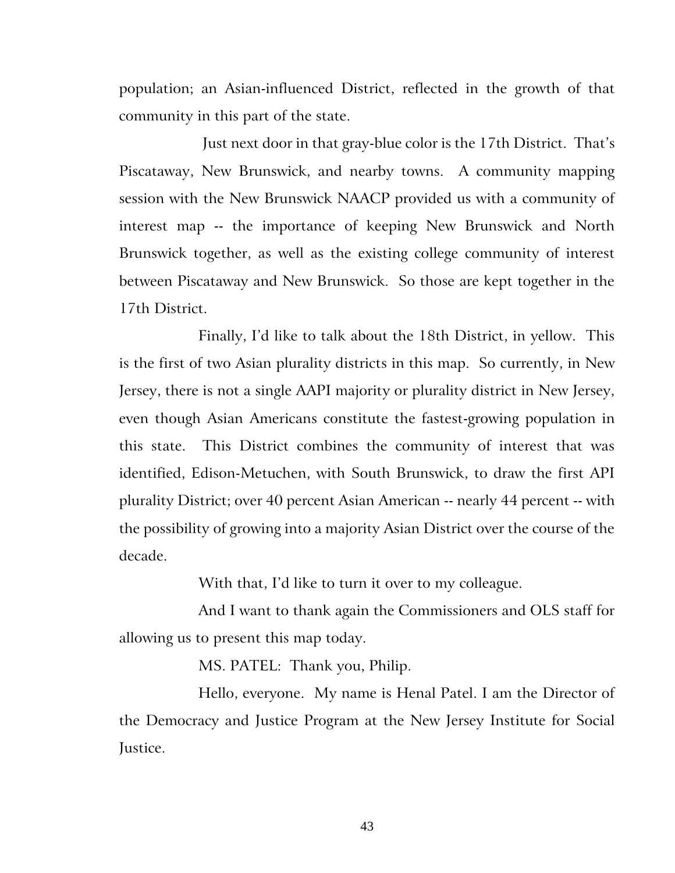population; an Asian-influenced District, reflected in the growth of that community in this part of the state.

Just next door in that gray-blue color is the 17th District. That's Piscataway, New Brunswick, and nearby towns. A community mapping session with the New Brunswick NAACP provided us with a community of interest map -- the importance of keeping New Brunswick and North Brunswick together, as well as the existing college community of interest between Piscataway and New Brunswick. So those are kept together in the 17th District.

Finally, I'd like to talk about the 18th District, in yellow. This is the first of two Asian plurality districts in this map. So currently, in New Jersey, there is not a single AAPI majority or plurality district in New Jersey, even though Asian Americans constitute the fastest-growing population in this state. This District combines the community of interest that was identified, Edison-Metuchen, with South Brunswick, to draw the first API plurality District; over 40 percent Asian American -- nearly 44 percent -- with the possibility of growing into a majority Asian District over the course of the decade.

With that, I'd like to turn it over to my colleague.

And I want to thank again the Commissioners and OLS staff for allowing us to present this map today.

MS. PATEL: Thank you, Philip.

Hello, everyone. My name is Henal Patel. I am the Director of the Democracy and Justice Program at the New Jersey Institute for Social Justice.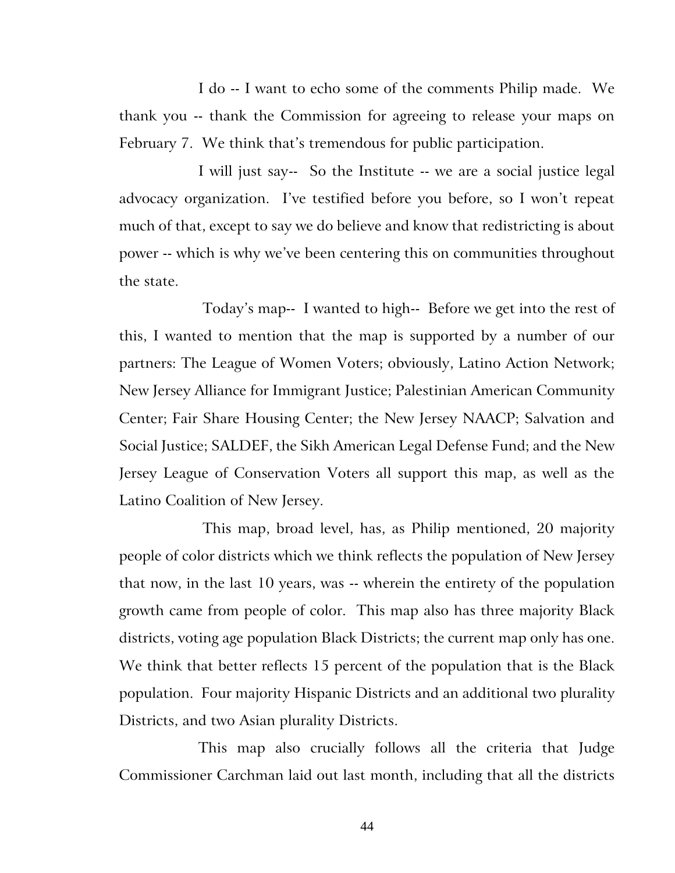I do -- I want to echo some of the comments Philip made. We thank you -- thank the Commission for agreeing to release your maps on February 7. We think that's tremendous for public participation.

I will just say-- So the Institute -- we are a social justice legal advocacy organization. I've testified before you before, so I won't repeat much of that, except to say we do believe and know that redistricting is about power -- which is why we've been centering this on communities throughout the state.

Today's map-- I wanted to high-- Before we get into the rest of this, I wanted to mention that the map is supported by a number of our partners: The League of Women Voters; obviously, Latino Action Network; New Jersey Alliance for Immigrant Justice; Palestinian American Community Center; Fair Share Housing Center; the New Jersey NAACP; Salvation and Social Justice; SALDEF, the Sikh American Legal Defense Fund; and the New Jersey League of Conservation Voters all support this map, as well as the Latino Coalition of New Jersey.

This map, broad level, has, as Philip mentioned, 20 majority people of color districts which we think reflects the population of New Jersey that now, in the last 10 years, was -- wherein the entirety of the population growth came from people of color. This map also has three majority Black districts, voting age population Black Districts; the current map only has one. We think that better reflects 15 percent of the population that is the Black population. Four majority Hispanic Districts and an additional two plurality Districts, and two Asian plurality Districts.

This map also crucially follows all the criteria that Judge Commissioner Carchman laid out last month, including that all the districts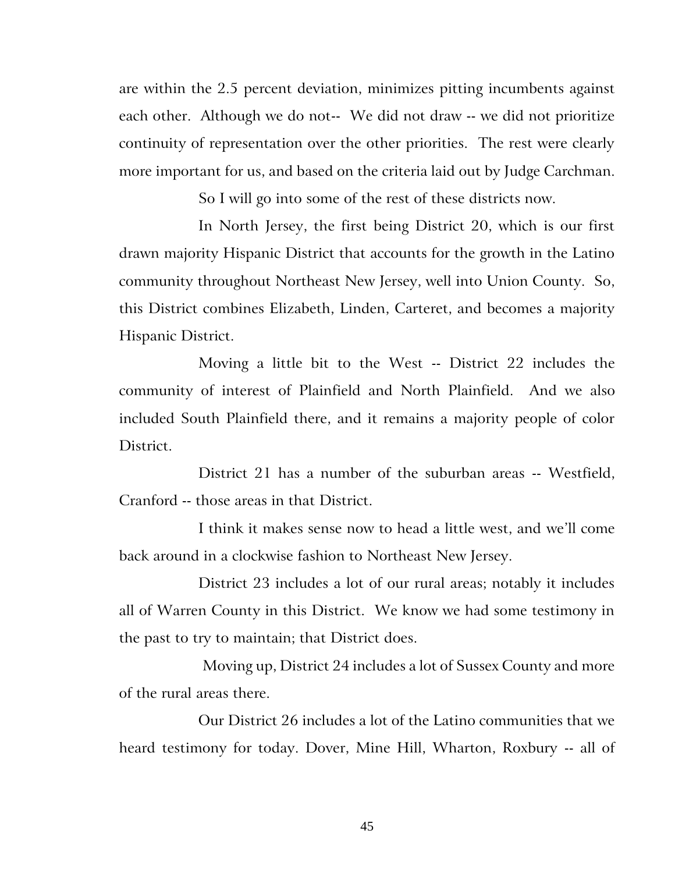are within the 2.5 percent deviation, minimizes pitting incumbents against each other. Although we do not-- We did not draw -- we did not prioritize continuity of representation over the other priorities. The rest were clearly more important for us, and based on the criteria laid out by Judge Carchman.

So I will go into some of the rest of these districts now.

In North Jersey, the first being District 20, which is our first drawn majority Hispanic District that accounts for the growth in the Latino community throughout Northeast New Jersey, well into Union County. So, this District combines Elizabeth, Linden, Carteret, and becomes a majority Hispanic District.

Moving a little bit to the West -- District 22 includes the community of interest of Plainfield and North Plainfield. And we also included South Plainfield there, and it remains a majority people of color District.

District 21 has a number of the suburban areas -- Westfield, Cranford -- those areas in that District.

I think it makes sense now to head a little west, and we'll come back around in a clockwise fashion to Northeast New Jersey.

District 23 includes a lot of our rural areas; notably it includes all of Warren County in this District. We know we had some testimony in the past to try to maintain; that District does.

Moving up, District 24 includes a lot of Sussex County and more of the rural areas there.

Our District 26 includes a lot of the Latino communities that we heard testimony for today. Dover, Mine Hill, Wharton, Roxbury -- all of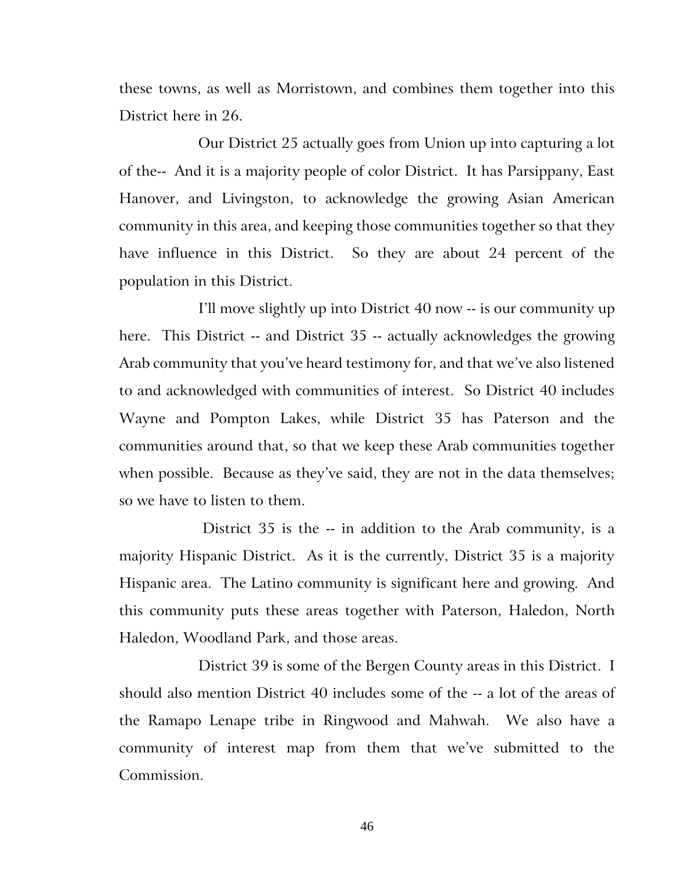these towns, as well as Morristown, and combines them together into this District here in 26.

Our District 25 actually goes from Union up into capturing a lot of the-- And it is a majority people of color District. It has Parsippany, East Hanover, and Livingston, to acknowledge the growing Asian American community in this area, and keeping those communities together so that they have influence in this District. So they are about 24 percent of the population in this District.

I'll move slightly up into District 40 now -- is our community up here. This District -- and District 35 -- actually acknowledges the growing Arab community that you've heard testimony for, and that we've also listened to and acknowledged with communities of interest. So District 40 includes Wayne and Pompton Lakes, while District 35 has Paterson and the communities around that, so that we keep these Arab communities together when possible. Because as they've said, they are not in the data themselves; so we have to listen to them.

District 35 is the -- in addition to the Arab community, is a majority Hispanic District. As it is the currently, District 35 is a majority Hispanic area. The Latino community is significant here and growing. And this community puts these areas together with Paterson, Haledon, North Haledon, Woodland Park, and those areas.

District 39 is some of the Bergen County areas in this District. I should also mention District 40 includes some of the -- a lot of the areas of the Ramapo Lenape tribe in Ringwood and Mahwah. We also have a community of interest map from them that we've submitted to the Commission.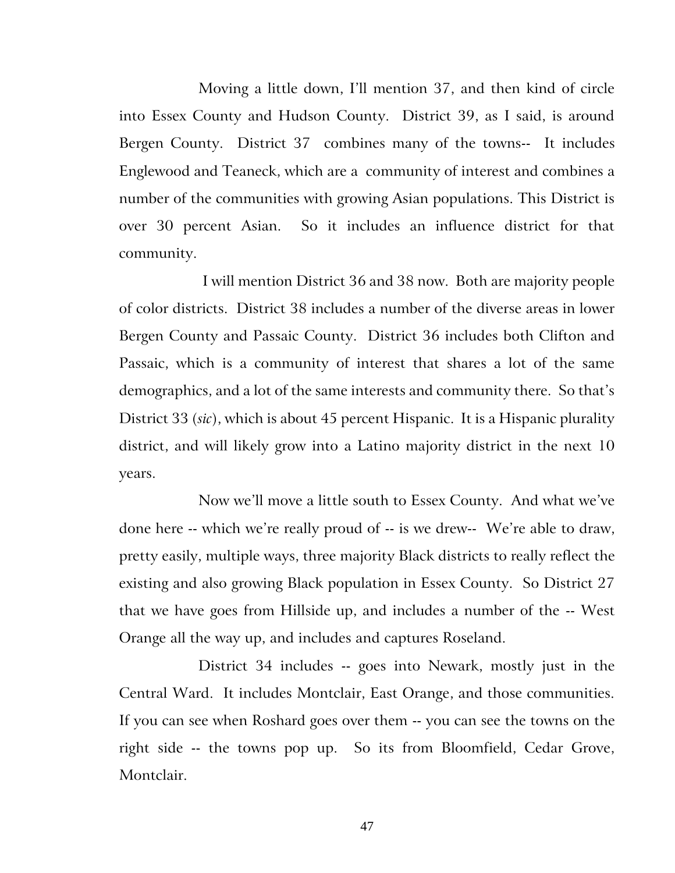Moving a little down, I'll mention 37, and then kind of circle into Essex County and Hudson County. District 39, as I said, is around Bergen County. District 37 combines many of the towns-- It includes Englewood and Teaneck, which are a community of interest and combines a number of the communities with growing Asian populations. This District is over 30 percent Asian. So it includes an influence district for that community.

I will mention District 36 and 38 now. Both are majority people of color districts. District 38 includes a number of the diverse areas in lower Bergen County and Passaic County. District 36 includes both Clifton and Passaic, which is a community of interest that shares a lot of the same demographics, and a lot of the same interests and community there. So that's District 33 (*sic*), which is about 45 percent Hispanic. It is a Hispanic plurality district, and will likely grow into a Latino majority district in the next 10 years.

Now we'll move a little south to Essex County. And what we've done here -- which we're really proud of -- is we drew-- We're able to draw, pretty easily, multiple ways, three majority Black districts to really reflect the existing and also growing Black population in Essex County. So District 27 that we have goes from Hillside up, and includes a number of the -- West Orange all the way up, and includes and captures Roseland.

District 34 includes -- goes into Newark, mostly just in the Central Ward. It includes Montclair, East Orange, and those communities. If you can see when Roshard goes over them -- you can see the towns on the right side -- the towns pop up. So its from Bloomfield, Cedar Grove, Montclair.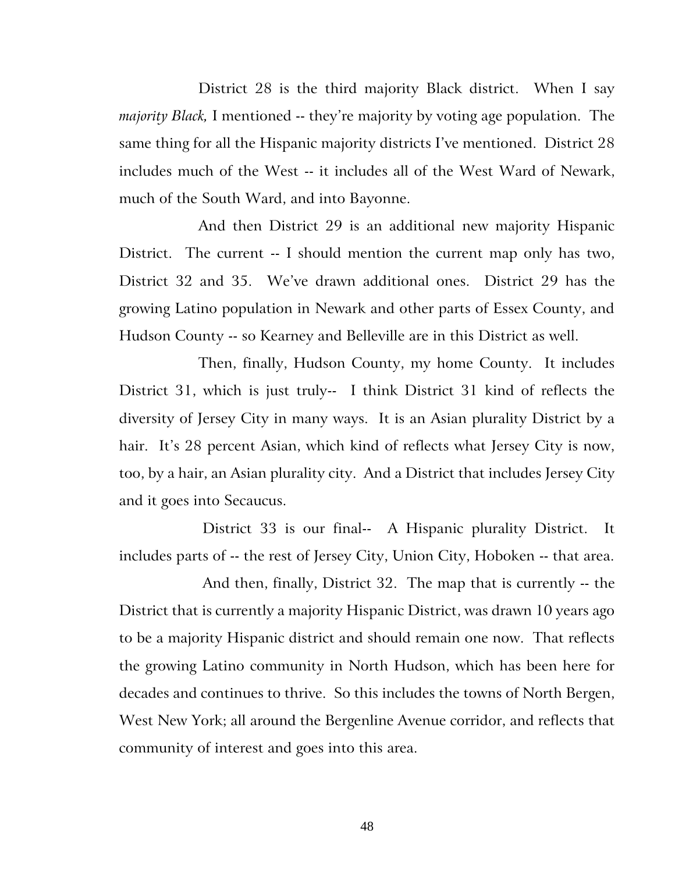District 28 is the third majority Black district. When I say *majority Black,* I mentioned -- they're majority by voting age population. The same thing for all the Hispanic majority districts I've mentioned. District 28 includes much of the West -- it includes all of the West Ward of Newark, much of the South Ward, and into Bayonne.

And then District 29 is an additional new majority Hispanic District. The current -- I should mention the current map only has two, District 32 and 35. We've drawn additional ones. District 29 has the growing Latino population in Newark and other parts of Essex County, and Hudson County -- so Kearney and Belleville are in this District as well.

Then, finally, Hudson County, my home County. It includes District 31, which is just truly-- I think District 31 kind of reflects the diversity of Jersey City in many ways. It is an Asian plurality District by a hair. It's 28 percent Asian, which kind of reflects what Jersey City is now, too, by a hair, an Asian plurality city. And a District that includes Jersey City and it goes into Secaucus.

District 33 is our final-- A Hispanic plurality District. It includes parts of -- the rest of Jersey City, Union City, Hoboken -- that area.

And then, finally, District 32. The map that is currently -- the District that is currently a majority Hispanic District, was drawn 10 years ago to be a majority Hispanic district and should remain one now. That reflects the growing Latino community in North Hudson, which has been here for decades and continues to thrive. So this includes the towns of North Bergen, West New York; all around the Bergenline Avenue corridor, and reflects that community of interest and goes into this area.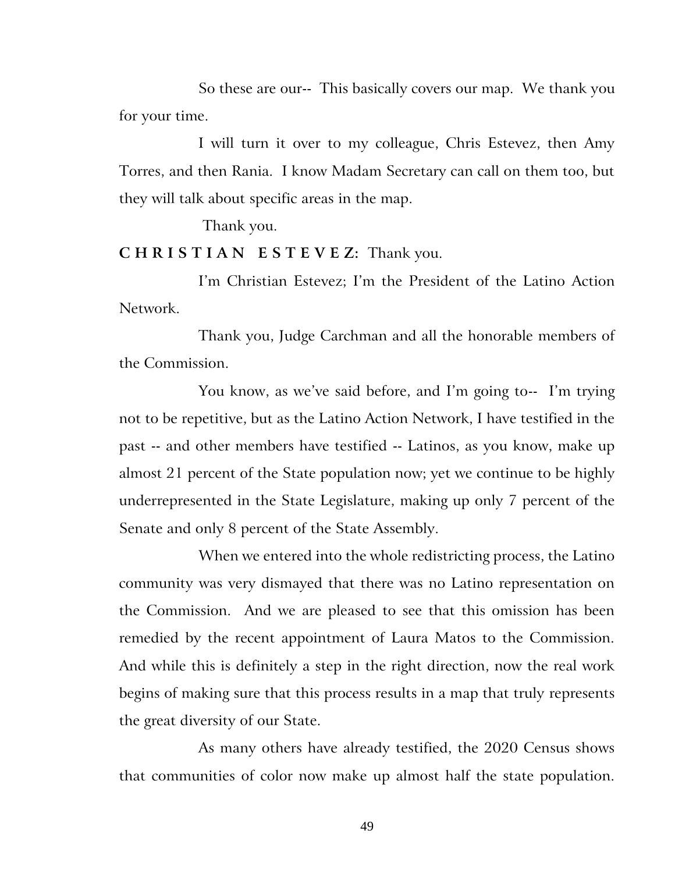So these are our-- This basically covers our map. We thank you for your time.

I will turn it over to my colleague, Chris Estevez, then Amy Torres, and then Rania. I know Madam Secretary can call on them too, but they will talk about specific areas in the map.

Thank you.

**C H R I S T I A N E S T E V E Z:** Thank you.

I'm Christian Estevez; I'm the President of the Latino Action Network.

Thank you, Judge Carchman and all the honorable members of the Commission.

You know, as we've said before, and I'm going to-- I'm trying not to be repetitive, but as the Latino Action Network, I have testified in the past -- and other members have testified -- Latinos, as you know, make up almost 21 percent of the State population now; yet we continue to be highly underrepresented in the State Legislature, making up only 7 percent of the Senate and only 8 percent of the State Assembly.

When we entered into the whole redistricting process, the Latino community was very dismayed that there was no Latino representation on the Commission. And we are pleased to see that this omission has been remedied by the recent appointment of Laura Matos to the Commission. And while this is definitely a step in the right direction, now the real work begins of making sure that this process results in a map that truly represents the great diversity of our State.

As many others have already testified, the 2020 Census shows that communities of color now make up almost half the state population.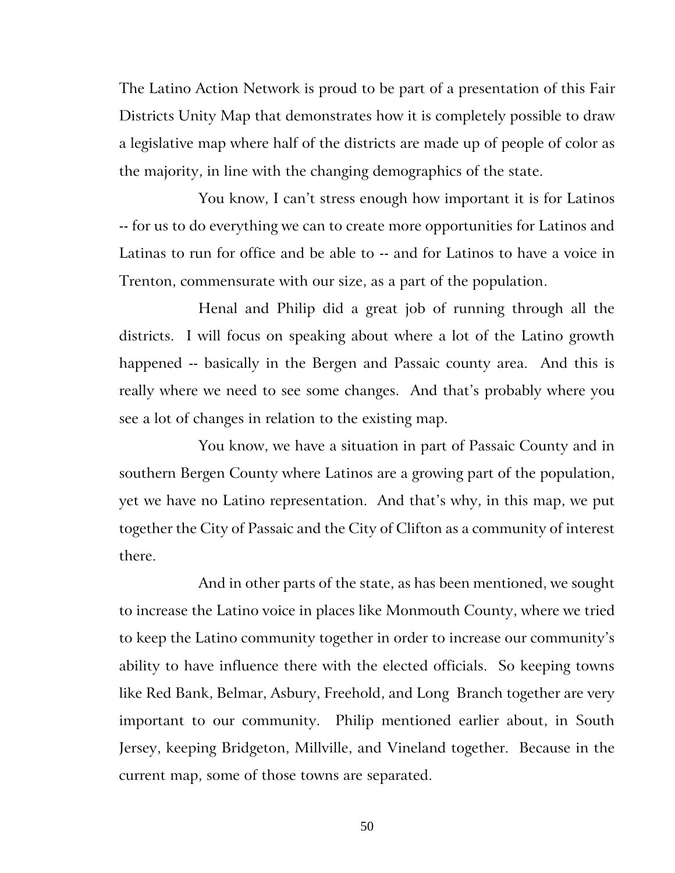The Latino Action Network is proud to be part of a presentation of this Fair Districts Unity Map that demonstrates how it is completely possible to draw a legislative map where half of the districts are made up of people of color as the majority, in line with the changing demographics of the state.

You know, I can't stress enough how important it is for Latinos -- for us to do everything we can to create more opportunities for Latinos and Latinas to run for office and be able to -- and for Latinos to have a voice in Trenton, commensurate with our size, as a part of the population.

Henal and Philip did a great job of running through all the districts. I will focus on speaking about where a lot of the Latino growth happened -- basically in the Bergen and Passaic county area. And this is really where we need to see some changes. And that's probably where you see a lot of changes in relation to the existing map.

You know, we have a situation in part of Passaic County and in southern Bergen County where Latinos are a growing part of the population, yet we have no Latino representation. And that's why, in this map, we put together the City of Passaic and the City of Clifton as a community of interest there.

And in other parts of the state, as has been mentioned, we sought to increase the Latino voice in places like Monmouth County, where we tried to keep the Latino community together in order to increase our community's ability to have influence there with the elected officials. So keeping towns like Red Bank, Belmar, Asbury, Freehold, and Long Branch together are very important to our community. Philip mentioned earlier about, in South Jersey, keeping Bridgeton, Millville, and Vineland together. Because in the current map, some of those towns are separated.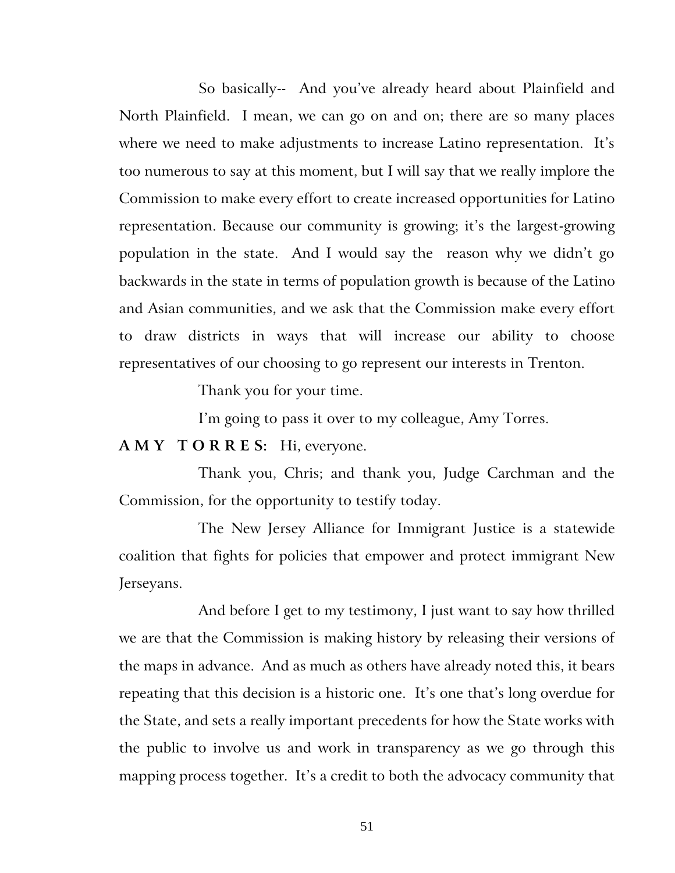So basically-- And you've already heard about Plainfield and North Plainfield. I mean, we can go on and on; there are so many places where we need to make adjustments to increase Latino representation. It's too numerous to say at this moment, but I will say that we really implore the Commission to make every effort to create increased opportunities for Latino representation. Because our community is growing; it's the largest-growing population in the state. And I would say the reason why we didn't go backwards in the state in terms of population growth is because of the Latino and Asian communities, and we ask that the Commission make every effort to draw districts in ways that will increase our ability to choose representatives of our choosing to go represent our interests in Trenton.

Thank you for your time.

I'm going to pass it over to my colleague, Amy Torres.

**A M Y T O R R E S:** Hi, everyone.

Thank you, Chris; and thank you, Judge Carchman and the Commission, for the opportunity to testify today.

The New Jersey Alliance for Immigrant Justice is a statewide coalition that fights for policies that empower and protect immigrant New Jerseyans.

And before I get to my testimony, I just want to say how thrilled we are that the Commission is making history by releasing their versions of the maps in advance. And as much as others have already noted this, it bears repeating that this decision is a historic one. It's one that's long overdue for the State, and sets a really important precedents for how the State works with the public to involve us and work in transparency as we go through this mapping process together. It's a credit to both the advocacy community that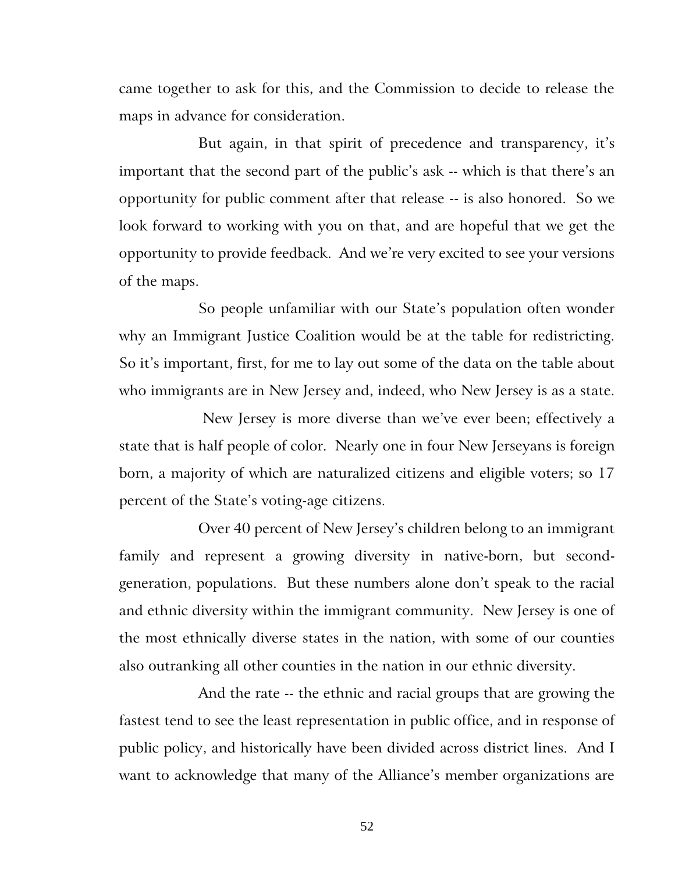came together to ask for this, and the Commission to decide to release the maps in advance for consideration.

But again, in that spirit of precedence and transparency, it's important that the second part of the public's ask -- which is that there's an opportunity for public comment after that release -- is also honored. So we look forward to working with you on that, and are hopeful that we get the opportunity to provide feedback. And we're very excited to see your versions of the maps.

So people unfamiliar with our State's population often wonder why an Immigrant Justice Coalition would be at the table for redistricting. So it's important, first, for me to lay out some of the data on the table about who immigrants are in New Jersey and, indeed, who New Jersey is as a state.

New Jersey is more diverse than we've ever been; effectively a state that is half people of color. Nearly one in four New Jerseyans is foreign born, a majority of which are naturalized citizens and eligible voters; so 17 percent of the State's voting-age citizens.

Over 40 percent of New Jersey's children belong to an immigrant family and represent a growing diversity in native-born, but secondgeneration, populations. But these numbers alone don't speak to the racial and ethnic diversity within the immigrant community. New Jersey is one of the most ethnically diverse states in the nation, with some of our counties also outranking all other counties in the nation in our ethnic diversity.

And the rate -- the ethnic and racial groups that are growing the fastest tend to see the least representation in public office, and in response of public policy, and historically have been divided across district lines. And I want to acknowledge that many of the Alliance's member organizations are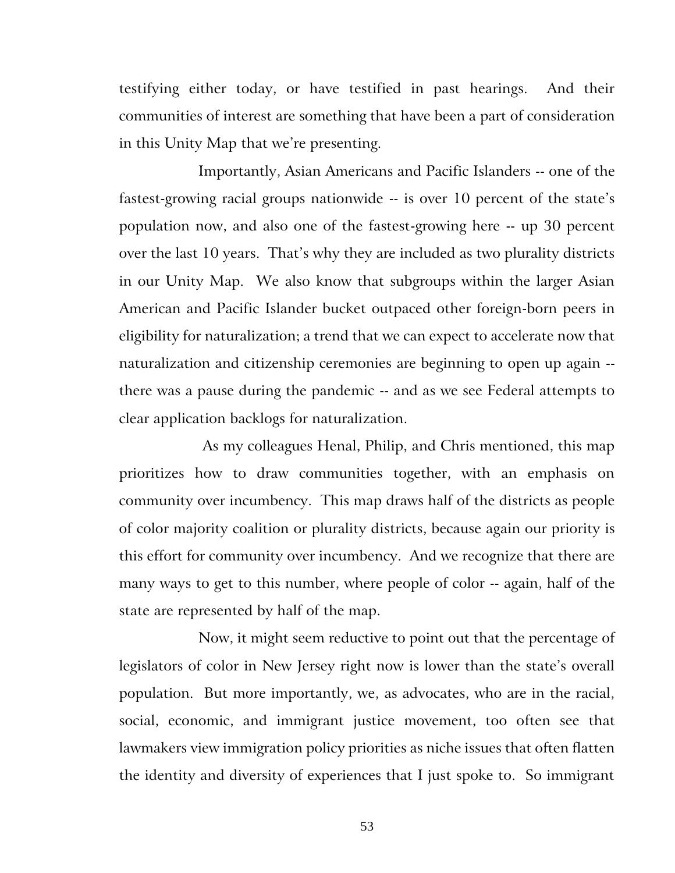testifying either today, or have testified in past hearings. And their communities of interest are something that have been a part of consideration in this Unity Map that we're presenting.

Importantly, Asian Americans and Pacific Islanders -- one of the fastest-growing racial groups nationwide -- is over 10 percent of the state's population now, and also one of the fastest-growing here -- up 30 percent over the last 10 years. That's why they are included as two plurality districts in our Unity Map. We also know that subgroups within the larger Asian American and Pacific Islander bucket outpaced other foreign-born peers in eligibility for naturalization; a trend that we can expect to accelerate now that naturalization and citizenship ceremonies are beginning to open up again - there was a pause during the pandemic -- and as we see Federal attempts to clear application backlogs for naturalization.

As my colleagues Henal, Philip, and Chris mentioned, this map prioritizes how to draw communities together, with an emphasis on community over incumbency. This map draws half of the districts as people of color majority coalition or plurality districts, because again our priority is this effort for community over incumbency. And we recognize that there are many ways to get to this number, where people of color -- again, half of the state are represented by half of the map.

Now, it might seem reductive to point out that the percentage of legislators of color in New Jersey right now is lower than the state's overall population. But more importantly, we, as advocates, who are in the racial, social, economic, and immigrant justice movement, too often see that lawmakers view immigration policy priorities as niche issues that often flatten the identity and diversity of experiences that I just spoke to. So immigrant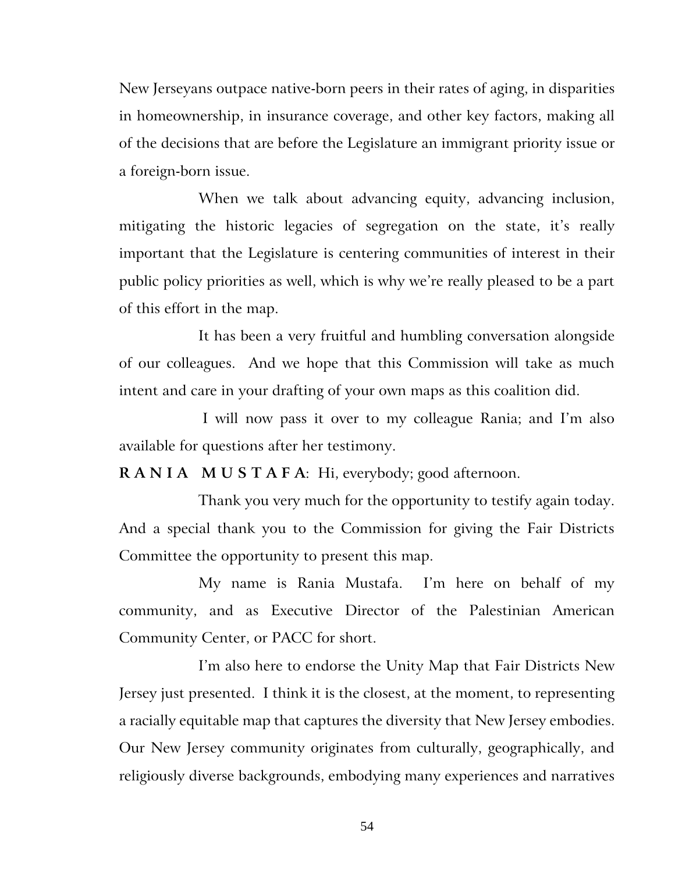New Jerseyans outpace native-born peers in their rates of aging, in disparities in homeownership, in insurance coverage, and other key factors, making all of the decisions that are before the Legislature an immigrant priority issue or a foreign-born issue.

When we talk about advancing equity, advancing inclusion, mitigating the historic legacies of segregation on the state, it's really important that the Legislature is centering communities of interest in their public policy priorities as well, which is why we're really pleased to be a part of this effort in the map.

It has been a very fruitful and humbling conversation alongside of our colleagues. And we hope that this Commission will take as much intent and care in your drafting of your own maps as this coalition did.

I will now pass it over to my colleague Rania; and I'm also available for questions after her testimony.

**R A N I A M U S T A F A**: Hi, everybody; good afternoon.

Thank you very much for the opportunity to testify again today. And a special thank you to the Commission for giving the Fair Districts Committee the opportunity to present this map.

My name is Rania Mustafa. I'm here on behalf of my community, and as Executive Director of the Palestinian American Community Center, or PACC for short.

I'm also here to endorse the Unity Map that Fair Districts New Jersey just presented. I think it is the closest, at the moment, to representing a racially equitable map that captures the diversity that New Jersey embodies. Our New Jersey community originates from culturally, geographically, and religiously diverse backgrounds, embodying many experiences and narratives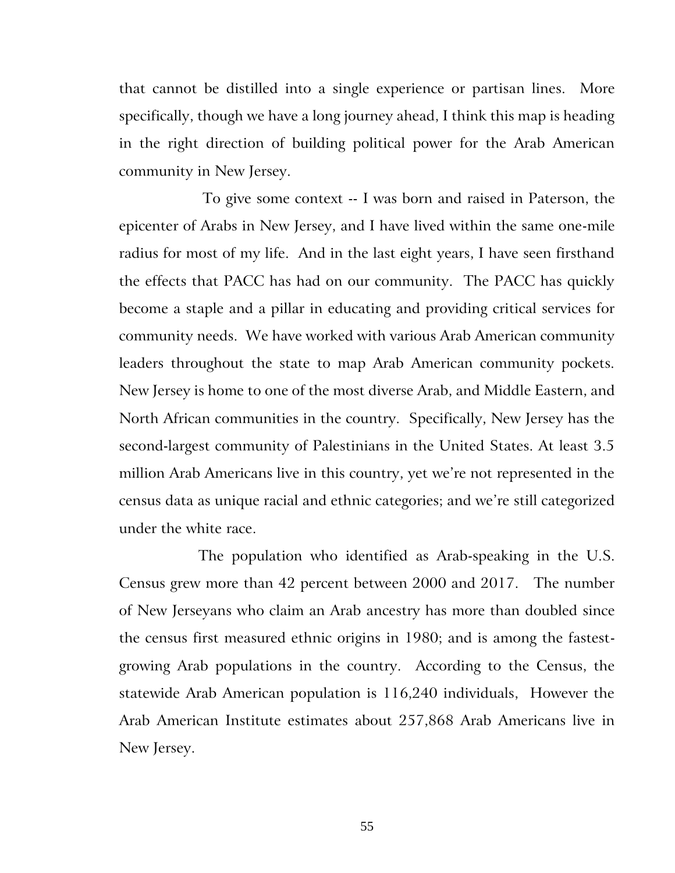that cannot be distilled into a single experience or partisan lines. More specifically, though we have a long journey ahead, I think this map is heading in the right direction of building political power for the Arab American community in New Jersey.

To give some context -- I was born and raised in Paterson, the epicenter of Arabs in New Jersey, and I have lived within the same one-mile radius for most of my life. And in the last eight years, I have seen firsthand the effects that PACC has had on our community. The PACC has quickly become a staple and a pillar in educating and providing critical services for community needs. We have worked with various Arab American community leaders throughout the state to map Arab American community pockets. New Jersey is home to one of the most diverse Arab, and Middle Eastern, and North African communities in the country. Specifically, New Jersey has the second-largest community of Palestinians in the United States. At least 3.5 million Arab Americans live in this country, yet we're not represented in the census data as unique racial and ethnic categories; and we're still categorized under the white race.

The population who identified as Arab-speaking in the U.S. Census grew more than 42 percent between 2000 and 2017. The number of New Jerseyans who claim an Arab ancestry has more than doubled since the census first measured ethnic origins in 1980; and is among the fastestgrowing Arab populations in the country. According to the Census, the statewide Arab American population is 116,240 individuals, However the Arab American Institute estimates about 257,868 Arab Americans live in New Jersey.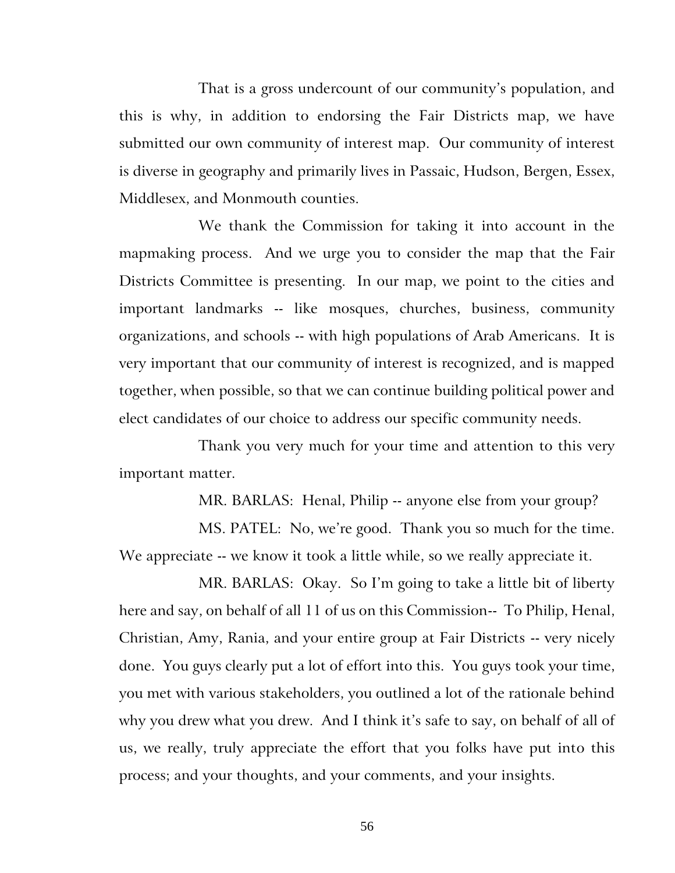That is a gross undercount of our community's population, and this is why, in addition to endorsing the Fair Districts map, we have submitted our own community of interest map. Our community of interest is diverse in geography and primarily lives in Passaic, Hudson, Bergen, Essex, Middlesex, and Monmouth counties.

We thank the Commission for taking it into account in the mapmaking process. And we urge you to consider the map that the Fair Districts Committee is presenting. In our map, we point to the cities and important landmarks -- like mosques, churches, business, community organizations, and schools -- with high populations of Arab Americans. It is very important that our community of interest is recognized, and is mapped together, when possible, so that we can continue building political power and elect candidates of our choice to address our specific community needs.

Thank you very much for your time and attention to this very important matter.

MR. BARLAS: Henal, Philip -- anyone else from your group?

MS. PATEL: No, we're good. Thank you so much for the time. We appreciate -- we know it took a little while, so we really appreciate it.

MR. BARLAS: Okay. So I'm going to take a little bit of liberty here and say, on behalf of all 11 of us on this Commission-- To Philip, Henal, Christian, Amy, Rania, and your entire group at Fair Districts -- very nicely done. You guys clearly put a lot of effort into this. You guys took your time, you met with various stakeholders, you outlined a lot of the rationale behind why you drew what you drew. And I think it's safe to say, on behalf of all of us, we really, truly appreciate the effort that you folks have put into this process; and your thoughts, and your comments, and your insights.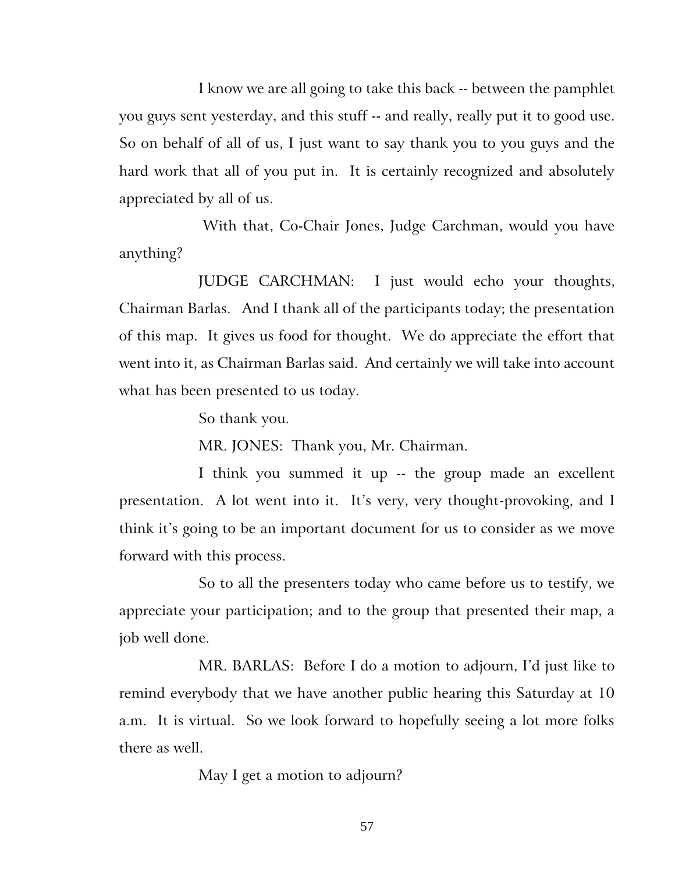I know we are all going to take this back -- between the pamphlet you guys sent yesterday, and this stuff -- and really, really put it to good use. So on behalf of all of us, I just want to say thank you to you guys and the hard work that all of you put in. It is certainly recognized and absolutely appreciated by all of us.

With that, Co-Chair Jones, Judge Carchman, would you have anything?

JUDGE CARCHMAN: I just would echo your thoughts, Chairman Barlas. And I thank all of the participants today; the presentation of this map. It gives us food for thought. We do appreciate the effort that went into it, as Chairman Barlas said. And certainly we will take into account what has been presented to us today.

So thank you.

MR. JONES: Thank you, Mr. Chairman.

I think you summed it up -- the group made an excellent presentation. A lot went into it. It's very, very thought-provoking, and I think it's going to be an important document for us to consider as we move forward with this process.

So to all the presenters today who came before us to testify, we appreciate your participation; and to the group that presented their map, a job well done.

MR. BARLAS: Before I do a motion to adjourn, I'd just like to remind everybody that we have another public hearing this Saturday at 10 a.m. It is virtual. So we look forward to hopefully seeing a lot more folks there as well.

May I get a motion to adjourn?